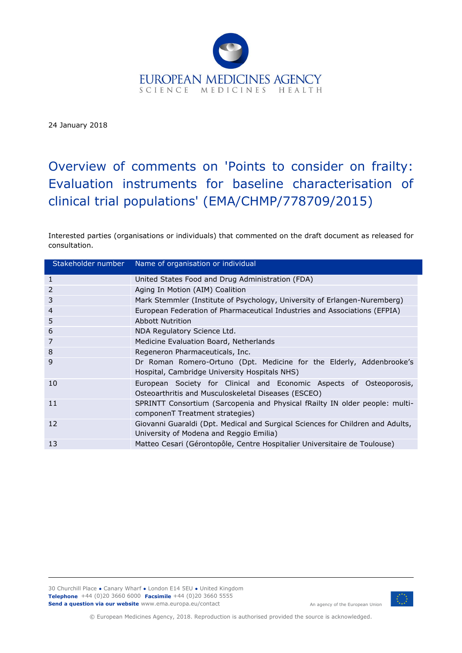

24 January 2018

# Overview of comments on 'Points to consider on frailty: Evaluation instruments for baseline characterisation of clinical trial populations' (EMA/CHMP/778709/2015)

Interested parties (organisations or individuals) that commented on the draft document as released for consultation.

| Stakeholder number | Name of organisation or individual                                                                                         |
|--------------------|----------------------------------------------------------------------------------------------------------------------------|
| 1                  | United States Food and Drug Administration (FDA)                                                                           |
| 2                  | Aging In Motion (AIM) Coalition                                                                                            |
| 3                  | Mark Stemmler (Institute of Psychology, University of Erlangen-Nuremberg)                                                  |
| $\overline{4}$     | European Federation of Pharmaceutical Industries and Associations (EFPIA)                                                  |
| 5                  | Abbott Nutrition                                                                                                           |
| 6                  | NDA Regulatory Science Ltd.                                                                                                |
| 7                  | Medicine Evaluation Board, Netherlands                                                                                     |
| 8                  | Regeneron Pharmaceuticals, Inc.                                                                                            |
| 9                  | Dr Roman Romero-Ortuno (Dpt. Medicine for the Elderly, Addenbrooke's<br>Hospital, Cambridge University Hospitals NHS)      |
| 10                 | European Society for Clinical and Economic Aspects of Osteoporosis,<br>Osteoarthritis and Musculoskeletal Diseases (ESCEO) |
| 11                 | SPRINTT Consortium (Sarcopenia and Physical fRailty IN older people: multi-<br>componenT Treatment strategies)             |
| $12 \ \mathrm{$    | Giovanni Guaraldi (Dpt. Medical and Surgical Sciences for Children and Adults,<br>University of Modena and Reggio Emilia)  |
| 13                 | Matteo Cesari (Gérontopôle, Centre Hospitalier Universitaire de Toulouse)                                                  |

30 Churchill Place **●** Canary Wharf **●** London E14 5EU **●** United Kingdom **Telephone** +44 (0)20 3660 6000 **Facsimile** +44 (0)20 3660 5555 **Send a question via our website** www.ema.europa.eu/contact



An agency of the European Union

© European Medicines Agency, 2018. Reproduction is authorised provided the source is acknowledged.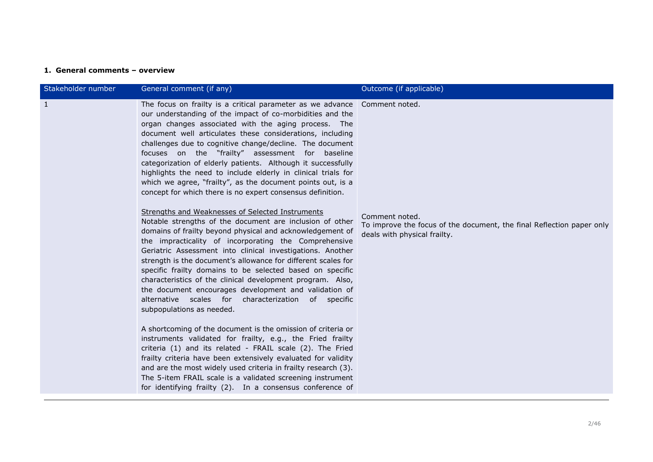# **1. General comments – overview**

| Stakeholder number | General comment (if any)                                                                                                                                                                                                                                                                                                                                                                                                                                                                                                                                                                                                                                                                                                                                                                                                                                                                                                                                                                                                                                                                                                                                                                                                                                                                                                                                                                                                                                                                                                                                                                                                                                                                                                         | Outcome (if applicable)                                                                                                                   |
|--------------------|----------------------------------------------------------------------------------------------------------------------------------------------------------------------------------------------------------------------------------------------------------------------------------------------------------------------------------------------------------------------------------------------------------------------------------------------------------------------------------------------------------------------------------------------------------------------------------------------------------------------------------------------------------------------------------------------------------------------------------------------------------------------------------------------------------------------------------------------------------------------------------------------------------------------------------------------------------------------------------------------------------------------------------------------------------------------------------------------------------------------------------------------------------------------------------------------------------------------------------------------------------------------------------------------------------------------------------------------------------------------------------------------------------------------------------------------------------------------------------------------------------------------------------------------------------------------------------------------------------------------------------------------------------------------------------------------------------------------------------|-------------------------------------------------------------------------------------------------------------------------------------------|
| $\mathbf{1}$       | The focus on frailty is a critical parameter as we advance<br>our understanding of the impact of co-morbidities and the<br>organ changes associated with the aging process. The<br>document well articulates these considerations, including<br>challenges due to cognitive change/decline. The document<br>focuses on the "frailty" assessment for baseline<br>categorization of elderly patients. Although it successfully<br>highlights the need to include elderly in clinical trials for<br>which we agree, "frailty", as the document points out, is a<br>concept for which there is no expert consensus definition.<br>Strengths and Weaknesses of Selected Instruments<br>Notable strengths of the document are inclusion of other<br>domains of frailty beyond physical and acknowledgement of<br>the impracticality of incorporating the Comprehensive<br>Geriatric Assessment into clinical investigations. Another<br>strength is the document's allowance for different scales for<br>specific frailty domains to be selected based on specific<br>characteristics of the clinical development program. Also,<br>the document encourages development and validation of<br>alternative scales for characterization of specific<br>subpopulations as needed.<br>A shortcoming of the document is the omission of criteria or<br>instruments validated for frailty, e.g., the Fried frailty<br>criteria (1) and its related - FRAIL scale (2). The Fried<br>frailty criteria have been extensively evaluated for validity<br>and are the most widely used criteria in frailty research (3).<br>The 5-item FRAIL scale is a validated screening instrument<br>for identifying frailty (2). In a consensus conference of | Comment noted.<br>Comment noted.<br>To improve the focus of the document, the final Reflection paper only<br>deals with physical frailty. |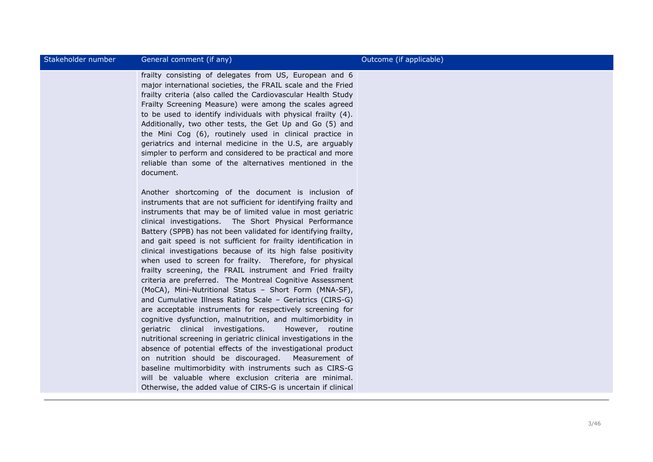| Stakeholder number | General comment (if any)                                                                                                                                                                                                                                                                                                                                                                                                                                                                                                                                                                                                                                                                                                                                                                                                                                                                                                                                                                                                                                                                                                                                                                                                                                                                                                                 | Outcome (if applicable) |
|--------------------|------------------------------------------------------------------------------------------------------------------------------------------------------------------------------------------------------------------------------------------------------------------------------------------------------------------------------------------------------------------------------------------------------------------------------------------------------------------------------------------------------------------------------------------------------------------------------------------------------------------------------------------------------------------------------------------------------------------------------------------------------------------------------------------------------------------------------------------------------------------------------------------------------------------------------------------------------------------------------------------------------------------------------------------------------------------------------------------------------------------------------------------------------------------------------------------------------------------------------------------------------------------------------------------------------------------------------------------|-------------------------|
|                    | frailty consisting of delegates from US, European and 6<br>major international societies, the FRAIL scale and the Fried<br>frailty criteria (also called the Cardiovascular Health Study<br>Frailty Screening Measure) were among the scales agreed<br>to be used to identify individuals with physical frailty (4).<br>Additionally, two other tests, the Get Up and Go (5) and<br>the Mini Cog (6), routinely used in clinical practice in<br>geriatrics and internal medicine in the U.S, are arguably<br>simpler to perform and considered to be practical and more<br>reliable than some of the alternatives mentioned in the<br>document.                                                                                                                                                                                                                                                                                                                                                                                                                                                                                                                                                                                                                                                                                          |                         |
|                    | Another shortcoming of the document is inclusion of<br>instruments that are not sufficient for identifying frailty and<br>instruments that may be of limited value in most geriatric<br>clinical investigations. The Short Physical Performance<br>Battery (SPPB) has not been validated for identifying frailty,<br>and gait speed is not sufficient for frailty identification in<br>clinical investigations because of its high false positivity<br>when used to screen for frailty. Therefore, for physical<br>frailty screening, the FRAIL instrument and Fried frailty<br>criteria are preferred. The Montreal Cognitive Assessment<br>(MoCA), Mini-Nutritional Status - Short Form (MNA-SF),<br>and Cumulative Illness Rating Scale - Geriatrics (CIRS-G)<br>are acceptable instruments for respectively screening for<br>cognitive dysfunction, malnutrition, and multimorbidity in<br>geriatric clinical investigations.<br>However, routine<br>nutritional screening in geriatric clinical investigations in the<br>absence of potential effects of the investigational product<br>on nutrition should be discouraged.<br>Measurement of<br>baseline multimorbidity with instruments such as CIRS-G<br>will be valuable where exclusion criteria are minimal.<br>Otherwise, the added value of CIRS-G is uncertain if clinical |                         |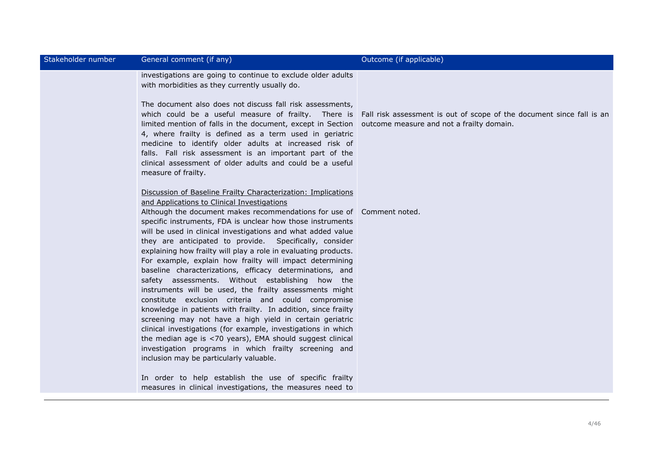| Stakeholder number | General comment (if any)                                                                                                                                                                                                                                                                                                                                                                                                                                                                                                                                                                                                                                                                                                                                                                                                                                                                                                                                                                                                                                                                                       | Outcome (if applicable)                                                                                            |
|--------------------|----------------------------------------------------------------------------------------------------------------------------------------------------------------------------------------------------------------------------------------------------------------------------------------------------------------------------------------------------------------------------------------------------------------------------------------------------------------------------------------------------------------------------------------------------------------------------------------------------------------------------------------------------------------------------------------------------------------------------------------------------------------------------------------------------------------------------------------------------------------------------------------------------------------------------------------------------------------------------------------------------------------------------------------------------------------------------------------------------------------|--------------------------------------------------------------------------------------------------------------------|
|                    | investigations are going to continue to exclude older adults<br>with morbidities as they currently usually do.<br>The document also does not discuss fall risk assessments,<br>which could be a useful measure of frailty. There is<br>limited mention of falls in the document, except in Section<br>4, where frailty is defined as a term used in geriatric<br>medicine to identify older adults at increased risk of<br>falls. Fall risk assessment is an important part of the<br>clinical assessment of older adults and could be a useful<br>measure of frailty.                                                                                                                                                                                                                                                                                                                                                                                                                                                                                                                                         | Fall risk assessment is out of scope of the document since fall is an<br>outcome measure and not a frailty domain. |
|                    | Discussion of Baseline Frailty Characterization: Implications<br>and Applications to Clinical Investigations<br>Although the document makes recommendations for use of Comment noted.<br>specific instruments, FDA is unclear how those instruments<br>will be used in clinical investigations and what added value<br>they are anticipated to provide. Specifically, consider<br>explaining how frailty will play a role in evaluating products.<br>For example, explain how frailty will impact determining<br>baseline characterizations, efficacy determinations, and<br>safety assessments. Without establishing how the<br>instruments will be used, the frailty assessments might<br>constitute exclusion criteria and could compromise<br>knowledge in patients with frailty. In addition, since frailty<br>screening may not have a high yield in certain geriatric<br>clinical investigations (for example, investigations in which<br>the median age is <70 years), EMA should suggest clinical<br>investigation programs in which frailty screening and<br>inclusion may be particularly valuable. |                                                                                                                    |
|                    | In order to help establish the use of specific frailty<br>measures in clinical investigations, the measures need to                                                                                                                                                                                                                                                                                                                                                                                                                                                                                                                                                                                                                                                                                                                                                                                                                                                                                                                                                                                            |                                                                                                                    |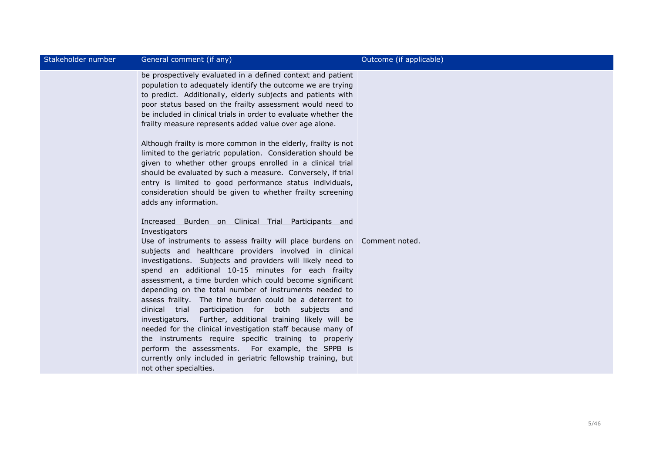| Stakeholder number | General comment (if any)                                                                                                                                                                                                                                                                                                                                                                                                                                                                                                                                                                                                                                                                                                                                                                                                                                                                                                                                    | Outcome (if applicable) |
|--------------------|-------------------------------------------------------------------------------------------------------------------------------------------------------------------------------------------------------------------------------------------------------------------------------------------------------------------------------------------------------------------------------------------------------------------------------------------------------------------------------------------------------------------------------------------------------------------------------------------------------------------------------------------------------------------------------------------------------------------------------------------------------------------------------------------------------------------------------------------------------------------------------------------------------------------------------------------------------------|-------------------------|
|                    | be prospectively evaluated in a defined context and patient<br>population to adequately identify the outcome we are trying<br>to predict. Additionally, elderly subjects and patients with<br>poor status based on the frailty assessment would need to<br>be included in clinical trials in order to evaluate whether the<br>frailty measure represents added value over age alone.<br>Although frailty is more common in the elderly, frailty is not<br>limited to the geriatric population. Consideration should be<br>given to whether other groups enrolled in a clinical trial<br>should be evaluated by such a measure. Conversely, if trial<br>entry is limited to good performance status individuals,<br>consideration should be given to whether frailty screening<br>adds any information.<br>Increased Burden on Clinical Trial Participants and<br>Investigators<br>Use of instruments to assess frailty will place burdens on Comment noted. |                         |
|                    | subjects and healthcare providers involved in clinical<br>investigations. Subjects and providers will likely need to<br>spend an additional 10-15 minutes for each frailty<br>assessment, a time burden which could become significant<br>depending on the total number of instruments needed to<br>assess frailty. The time burden could be a deterrent to<br>clinical trial participation for both subjects and<br>investigators. Further, additional training likely will be<br>needed for the clinical investigation staff because many of<br>the instruments require specific training to properly<br>perform the assessments. For example, the SPPB is<br>currently only included in geriatric fellowship training, but<br>not other specialties.                                                                                                                                                                                                     |                         |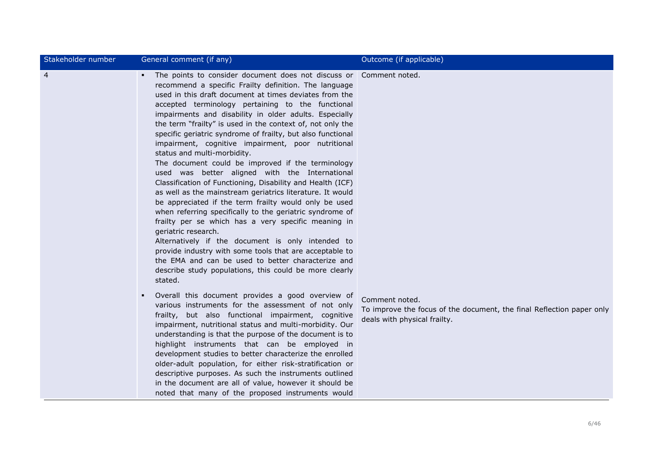| Stakeholder number | General comment (if any)                                                                                                                                                                                                                                                                                                                                                                                                                                                                                                                                                                                                                                                                                                                                                                                                                                                                                                                                                                                                                                                                                                                                                                               | Outcome (if applicable)                                                                                                 |
|--------------------|--------------------------------------------------------------------------------------------------------------------------------------------------------------------------------------------------------------------------------------------------------------------------------------------------------------------------------------------------------------------------------------------------------------------------------------------------------------------------------------------------------------------------------------------------------------------------------------------------------------------------------------------------------------------------------------------------------------------------------------------------------------------------------------------------------------------------------------------------------------------------------------------------------------------------------------------------------------------------------------------------------------------------------------------------------------------------------------------------------------------------------------------------------------------------------------------------------|-------------------------------------------------------------------------------------------------------------------------|
| $\overline{4}$     | The points to consider document does not discuss or Comment noted.<br>recommend a specific Frailty definition. The language<br>used in this draft document at times deviates from the<br>accepted terminology pertaining to the functional<br>impairments and disability in older adults. Especially<br>the term "frailty" is used in the context of, not only the<br>specific geriatric syndrome of frailty, but also functional<br>impairment, cognitive impairment, poor nutritional<br>status and multi-morbidity.<br>The document could be improved if the terminology<br>used was better aligned with the International<br>Classification of Functioning, Disability and Health (ICF)<br>as well as the mainstream geriatrics literature. It would<br>be appreciated if the term frailty would only be used<br>when referring specifically to the geriatric syndrome of<br>frailty per se which has a very specific meaning in<br>geriatric research.<br>Alternatively if the document is only intended to<br>provide industry with some tools that are acceptable to<br>the EMA and can be used to better characterize and<br>describe study populations, this could be more clearly<br>stated. |                                                                                                                         |
|                    | Overall this document provides a good overview of<br>various instruments for the assessment of not only<br>frailty, but also functional impairment, cognitive<br>impairment, nutritional status and multi-morbidity. Our<br>understanding is that the purpose of the document is to<br>highlight instruments that can be employed in<br>development studies to better characterize the enrolled<br>older-adult population, for either risk-stratification or<br>descriptive purposes. As such the instruments outlined<br>in the document are all of value, however it should be<br>noted that many of the proposed instruments would                                                                                                                                                                                                                                                                                                                                                                                                                                                                                                                                                                  | Comment noted.<br>To improve the focus of the document, the final Reflection paper only<br>deals with physical frailty. |

r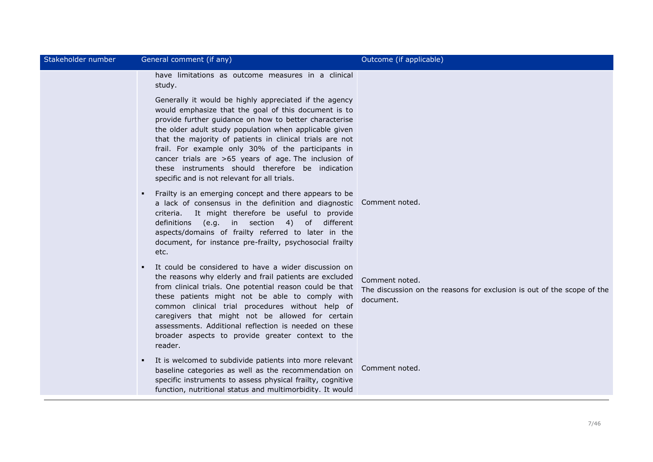| Stakeholder number | General comment (if any)                                                                                                                                                                                                                                                                                                                                                                                                                                                                                         | Outcome (if applicable)                                                                               |
|--------------------|------------------------------------------------------------------------------------------------------------------------------------------------------------------------------------------------------------------------------------------------------------------------------------------------------------------------------------------------------------------------------------------------------------------------------------------------------------------------------------------------------------------|-------------------------------------------------------------------------------------------------------|
|                    | have limitations as outcome measures in a clinical<br>study.                                                                                                                                                                                                                                                                                                                                                                                                                                                     |                                                                                                       |
|                    | Generally it would be highly appreciated if the agency<br>would emphasize that the goal of this document is to<br>provide further guidance on how to better characterise<br>the older adult study population when applicable given<br>that the majority of patients in clinical trials are not<br>frail. For example only 30% of the participants in<br>cancer trials are >65 years of age. The inclusion of<br>these instruments should therefore be indication<br>specific and is not relevant for all trials. |                                                                                                       |
|                    | Frailty is an emerging concept and there appears to be<br>$\blacksquare$<br>a lack of consensus in the definition and diagnostic<br>criteria. It might therefore be useful to provide<br>definitions (e.g. in section 4) of different<br>aspects/domains of frailty referred to later in the<br>document, for instance pre-frailty, psychosocial frailty<br>etc.                                                                                                                                                 | Comment noted.                                                                                        |
|                    | It could be considered to have a wider discussion on<br>the reasons why elderly and frail patients are excluded<br>from clinical trials. One potential reason could be that<br>these patients might not be able to comply with<br>common clinical trial procedures without help of<br>caregivers that might not be allowed for certain<br>assessments. Additional reflection is needed on these<br>broader aspects to provide greater context to the<br>reader.                                                  | Comment noted.<br>The discussion on the reasons for exclusion is out of the scope of the<br>document. |
|                    | It is welcomed to subdivide patients into more relevant<br>$\blacksquare$<br>baseline categories as well as the recommendation on<br>specific instruments to assess physical frailty, cognitive<br>function, nutritional status and multimorbidity. It would                                                                                                                                                                                                                                                     | Comment noted.                                                                                        |
|                    |                                                                                                                                                                                                                                                                                                                                                                                                                                                                                                                  |                                                                                                       |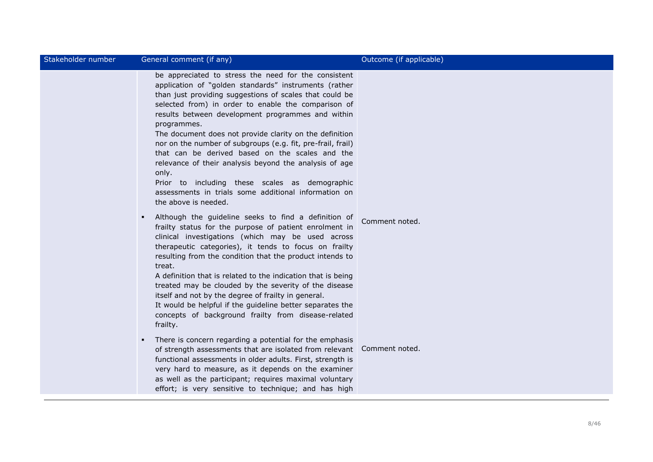| Stakeholder number | General comment (if any)                                                                                                                                                                                                                                                                                                                                                                                                                                                                                                                                                                                                                                                              | Outcome (if applicable) |
|--------------------|---------------------------------------------------------------------------------------------------------------------------------------------------------------------------------------------------------------------------------------------------------------------------------------------------------------------------------------------------------------------------------------------------------------------------------------------------------------------------------------------------------------------------------------------------------------------------------------------------------------------------------------------------------------------------------------|-------------------------|
|                    | be appreciated to stress the need for the consistent<br>application of "golden standards" instruments (rather<br>than just providing suggestions of scales that could be<br>selected from) in order to enable the comparison of<br>results between development programmes and within<br>programmes.<br>The document does not provide clarity on the definition<br>nor on the number of subgroups (e.g. fit, pre-frail, frail)<br>that can be derived based on the scales and the<br>relevance of their analysis beyond the analysis of age<br>only.<br>Prior to including these scales as demographic<br>assessments in trials some additional information on<br>the above is needed. |                         |
|                    | Although the guideline seeks to find a definition of<br>л.<br>frailty status for the purpose of patient enrolment in<br>clinical investigations (which may be used across<br>therapeutic categories), it tends to focus on frailty<br>resulting from the condition that the product intends to<br>treat.<br>A definition that is related to the indication that is being<br>treated may be clouded by the severity of the disease<br>itself and not by the degree of frailty in general.<br>It would be helpful if the guideline better separates the<br>concepts of background frailty from disease-related<br>frailty.                                                              | Comment noted.          |
|                    | There is concern regarding a potential for the emphasis<br>$\blacksquare$<br>of strength assessments that are isolated from relevant<br>functional assessments in older adults. First, strength is<br>very hard to measure, as it depends on the examiner<br>as well as the participant; requires maximal voluntary<br>effort; is very sensitive to technique; and has high                                                                                                                                                                                                                                                                                                           | Comment noted.          |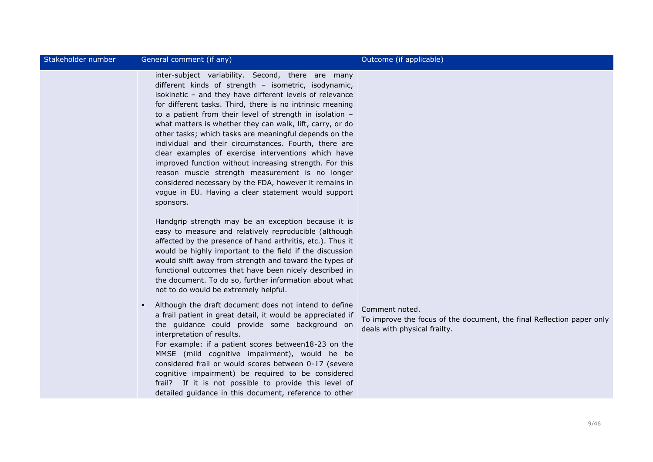| Stakeholder number | General comment (if any)                                                                                                                                                                                                                                                                                                                                                                                                                                                                                                                                                                                                                                                                                                                                                          | Outcome (if applicable)                                                                                                 |
|--------------------|-----------------------------------------------------------------------------------------------------------------------------------------------------------------------------------------------------------------------------------------------------------------------------------------------------------------------------------------------------------------------------------------------------------------------------------------------------------------------------------------------------------------------------------------------------------------------------------------------------------------------------------------------------------------------------------------------------------------------------------------------------------------------------------|-------------------------------------------------------------------------------------------------------------------------|
|                    | inter-subject variability. Second, there are many<br>different kinds of strength - isometric, isodynamic,<br>isokinetic - and they have different levels of relevance<br>for different tasks. Third, there is no intrinsic meaning<br>to a patient from their level of strength in isolation -<br>what matters is whether they can walk, lift, carry, or do<br>other tasks; which tasks are meaningful depends on the<br>individual and their circumstances. Fourth, there are<br>clear examples of exercise interventions which have<br>improved function without increasing strength. For this<br>reason muscle strength measurement is no longer<br>considered necessary by the FDA, however it remains in<br>vogue in EU. Having a clear statement would support<br>sponsors. |                                                                                                                         |
|                    | Handgrip strength may be an exception because it is<br>easy to measure and relatively reproducible (although<br>affected by the presence of hand arthritis, etc.). Thus it<br>would be highly important to the field if the discussion<br>would shift away from strength and toward the types of<br>functional outcomes that have been nicely described in<br>the document. To do so, further information about what<br>not to do would be extremely helpful.                                                                                                                                                                                                                                                                                                                     |                                                                                                                         |
|                    | Although the draft document does not intend to define<br>$\blacksquare$<br>a frail patient in great detail, it would be appreciated if<br>the guidance could provide some background on<br>interpretation of results.<br>For example: if a patient scores between18-23 on the<br>MMSE (mild cognitive impairment), would he be<br>considered frail or would scores between 0-17 (severe<br>cognitive impairment) be required to be considered<br>frail? If it is not possible to provide this level of<br>detailed guidance in this document, reference to other                                                                                                                                                                                                                  | Comment noted.<br>To improve the focus of the document, the final Reflection paper only<br>deals with physical frailty. |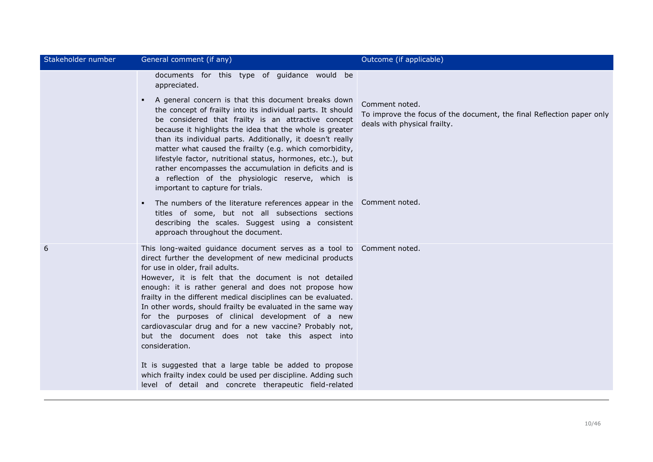| Stakeholder number | General comment (if any)                                                                                                                                                                                                                                                                                                                                                                                                                                                                                                                                                                                      | Outcome (if applicable)                                                                                                 |
|--------------------|---------------------------------------------------------------------------------------------------------------------------------------------------------------------------------------------------------------------------------------------------------------------------------------------------------------------------------------------------------------------------------------------------------------------------------------------------------------------------------------------------------------------------------------------------------------------------------------------------------------|-------------------------------------------------------------------------------------------------------------------------|
|                    | documents for this type of guidance would be<br>appreciated.                                                                                                                                                                                                                                                                                                                                                                                                                                                                                                                                                  |                                                                                                                         |
|                    | A general concern is that this document breaks down<br>٠<br>the concept of frailty into its individual parts. It should<br>be considered that frailty is an attractive concept<br>because it highlights the idea that the whole is greater<br>than its individual parts. Additionally, it doesn't really<br>matter what caused the frailty (e.g. which comorbidity,<br>lifestyle factor, nutritional status, hormones, etc.), but<br>rather encompasses the accumulation in deficits and is<br>a reflection of the physiologic reserve, which is<br>important to capture for trials.                          | Comment noted.<br>To improve the focus of the document, the final Reflection paper only<br>deals with physical frailty. |
|                    | The numbers of the literature references appear in the<br>ж.<br>titles of some, but not all subsections sections<br>describing the scales. Suggest using a consistent<br>approach throughout the document.                                                                                                                                                                                                                                                                                                                                                                                                    | Comment noted.                                                                                                          |
| 6                  | This long-waited guidance document serves as a tool to Comment noted.<br>direct further the development of new medicinal products<br>for use in older, frail adults.<br>However, it is felt that the document is not detailed<br>enough: it is rather general and does not propose how<br>frailty in the different medical disciplines can be evaluated.<br>In other words, should frailty be evaluated in the same way<br>for the purposes of clinical development of a new<br>cardiovascular drug and for a new vaccine? Probably not,<br>but the document does not take this aspect into<br>consideration. |                                                                                                                         |
|                    | It is suggested that a large table be added to propose<br>which frailty index could be used per discipline. Adding such<br>level of detail and concrete therapeutic field-related                                                                                                                                                                                                                                                                                                                                                                                                                             |                                                                                                                         |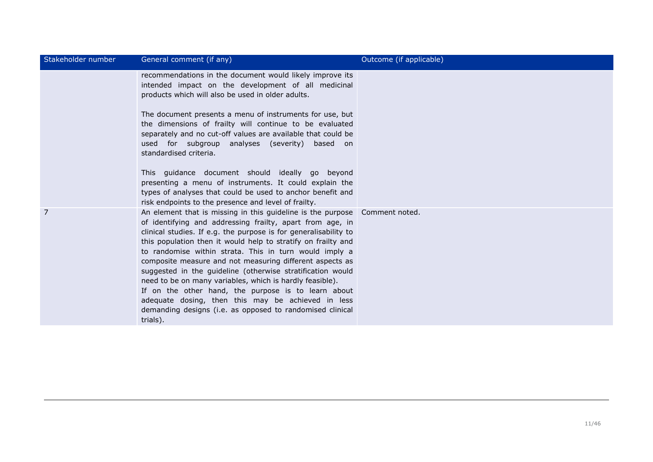| Stakeholder number | General comment (if any)                                                                                                                                                                                                                                                                                                                                                                                                                                                                                                                                                                                                                                                                                           | Outcome (if applicable) |
|--------------------|--------------------------------------------------------------------------------------------------------------------------------------------------------------------------------------------------------------------------------------------------------------------------------------------------------------------------------------------------------------------------------------------------------------------------------------------------------------------------------------------------------------------------------------------------------------------------------------------------------------------------------------------------------------------------------------------------------------------|-------------------------|
|                    | recommendations in the document would likely improve its<br>intended impact on the development of all medicinal<br>products which will also be used in older adults.                                                                                                                                                                                                                                                                                                                                                                                                                                                                                                                                               |                         |
|                    | The document presents a menu of instruments for use, but<br>the dimensions of frailty will continue to be evaluated<br>separately and no cut-off values are available that could be<br>used for subgroup analyses (severity) based on<br>standardised criteria.                                                                                                                                                                                                                                                                                                                                                                                                                                                    |                         |
|                    | This quidance document should ideally go beyond<br>presenting a menu of instruments. It could explain the<br>types of analyses that could be used to anchor benefit and<br>risk endpoints to the presence and level of frailty.                                                                                                                                                                                                                                                                                                                                                                                                                                                                                    |                         |
| 7                  | An element that is missing in this guideline is the purpose Comment noted.<br>of identifying and addressing frailty, apart from age, in<br>clinical studies. If e.g. the purpose is for generalisability to<br>this population then it would help to stratify on frailty and<br>to randomise within strata. This in turn would imply a<br>composite measure and not measuring different aspects as<br>suggested in the guideline (otherwise stratification would<br>need to be on many variables, which is hardly feasible).<br>If on the other hand, the purpose is to learn about<br>adequate dosing, then this may be achieved in less<br>demanding designs (i.e. as opposed to randomised clinical<br>trials). |                         |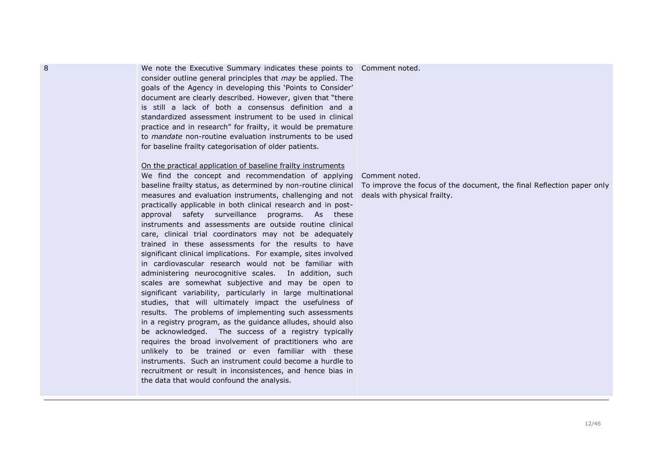8 We note the Executive Summary indicates these points to Comment noted. consider outline general principles that *may* be applied. The goals of the Agency in developing this 'Points to Consider' document are clearly described. However, given that "there is still a lack of both a consensus definition and a standardized assessment instrument to be used in clinical practice and in research" for frailty, it would be premature to *mandate* non-routine evaluation instruments to be used for baseline frailty categorisation of older patients.

### On the practical application of baseline frailty instruments

We find the concept and recommendation of applying measures and evaluation instruments, challenging and not deals with physical frailty.practically applicable in both clinical research and in postapproval safety surveillance programs. As these instruments and assessments are outside routine clinical care, clinical trial coordinators may not be adequately trained in these assessments for the results to have significant clinical implications. For example, sites involved in cardiovascular research would not be familiar with administering neurocognitive scales. In addition, such scales are somewhat subjective and may be open to significant variability, particularly in large multinational studies, that will ultimately impact the usefulness of results. The problems of implementing such assessments in a registry program, as the guidance alludes, should also be acknowledged. The success of a registry typically requires the broad involvement of practitioners who are unlikely to be trained or even familiar with these instruments. Such an instrument could become a hurdle to recruitment or result in inconsistences, and hence bias in the data that would confound the analysis.

Comment noted.

baseline frailty status, as determined by non-routine clinical To improve the focus of the document, the final Reflection paper only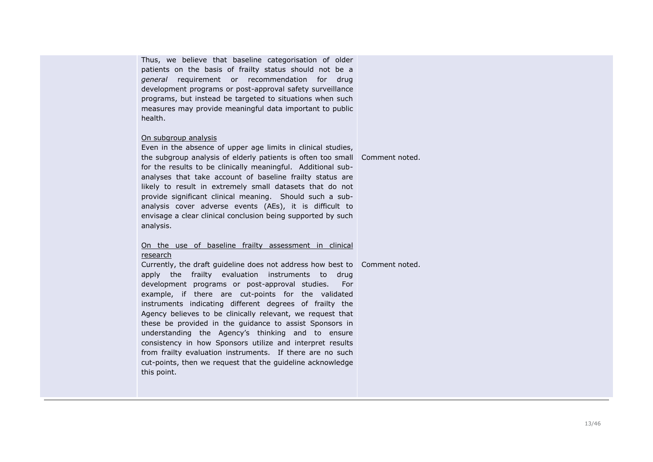Thus, we believe that baseline categorisation of older patients on the basis of frailty status should not be a *general* requirement or recommendation for drug development programs or post-approval safety surveillance programs, but instead be targeted to situations when such measures may provide meaningful data important to public health.

#### On subgroup analysis

Even in the absence of upper age limits in clinical studies, the subgroup analysis of elderly patients is often too small Comment noted. for the results to be clinically meaningful. Additional subanalyses that take account of baseline frailty status are likely to result in extremely small datasets that do not provide significant clinical meaning. Should such a subanalysis cover adverse events (AEs), it is difficult to envisage a clear clinical conclusion being supported by such analysis.

## On the use of baseline frailty assessment in clinical research

Currently, the draft guideline does not address how best to Comment noted.apply the frailty evaluation instruments to drug development programs or post-approval studies. For example, if there are cut-points for the validated instruments indicating different degrees of frailty the Agency believes to be clinically relevant, we request that these be provided in the guidance to assist Sponsors in understanding the Agency's thinking and to ensure consistency in how Sponsors utilize and interpret results from frailty evaluation instruments. If there are no such cut-points, then we request that the guideline acknowledge this point.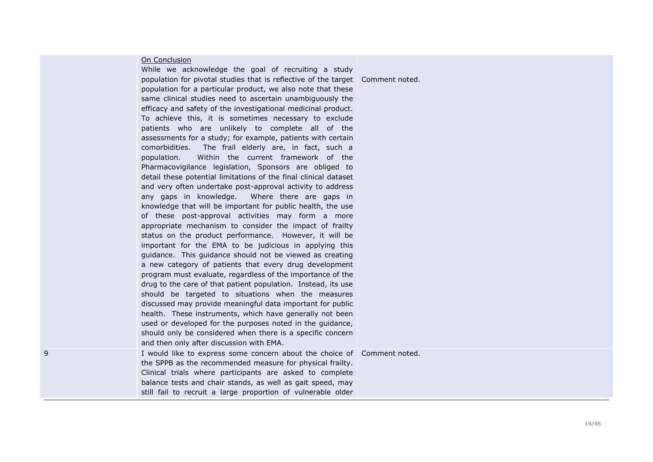|   | On Conclusion<br>While we acknowledge the goal of recruiting a study<br>population for pivotal studies that is reflective of the target Comment noted.<br>population for a particular product, we also note that these<br>same clinical studies need to ascertain unambiguously the<br>efficacy and safety of the investigational medicinal product.<br>To achieve this, it is sometimes necessary to exclude<br>patients who are unlikely to complete all of the<br>assessments for a study; for example, patients with certain<br>comorbidities.<br>The frail elderly are, in fact, such a<br>Within the current framework of the<br>population.<br>Pharmacovigilance legislation, Sponsors are obliged to<br>detail these potential limitations of the final clinical dataset<br>and very often undertake post-approval activity to address<br>any gaps in knowledge. Where there are gaps in<br>knowledge that will be important for public health, the use<br>of these post-approval activities may form a more<br>appropriate mechanism to consider the impact of frailty<br>status on the product performance. However, it will be<br>important for the EMA to be judicious in applying this<br>guidance. This guidance should not be viewed as creating<br>a new category of patients that every drug development<br>program must evaluate, regardless of the importance of the<br>drug to the care of that patient population. Instead, its use<br>should be targeted to situations when the measures<br>discussed may provide meaningful data important for public<br>health. These instruments, which have generally not been<br>used or developed for the purposes noted in the guidance,<br>should only be considered when there is a specific concern<br>and then only after discussion with EMA. |  |
|---|-----------------------------------------------------------------------------------------------------------------------------------------------------------------------------------------------------------------------------------------------------------------------------------------------------------------------------------------------------------------------------------------------------------------------------------------------------------------------------------------------------------------------------------------------------------------------------------------------------------------------------------------------------------------------------------------------------------------------------------------------------------------------------------------------------------------------------------------------------------------------------------------------------------------------------------------------------------------------------------------------------------------------------------------------------------------------------------------------------------------------------------------------------------------------------------------------------------------------------------------------------------------------------------------------------------------------------------------------------------------------------------------------------------------------------------------------------------------------------------------------------------------------------------------------------------------------------------------------------------------------------------------------------------------------------------------------------------------------------------------------------------------------------------------------------------------|--|
| 9 | I would like to express some concern about the choice of Comment noted.<br>the SPPB as the recommended measure for physical frailty.<br>Clinical trials where participants are asked to complete<br>balance tests and chair stands, as well as gait speed, may<br>still fail to recruit a large proportion of vulnerable older                                                                                                                                                                                                                                                                                                                                                                                                                                                                                                                                                                                                                                                                                                                                                                                                                                                                                                                                                                                                                                                                                                                                                                                                                                                                                                                                                                                                                                                                                  |  |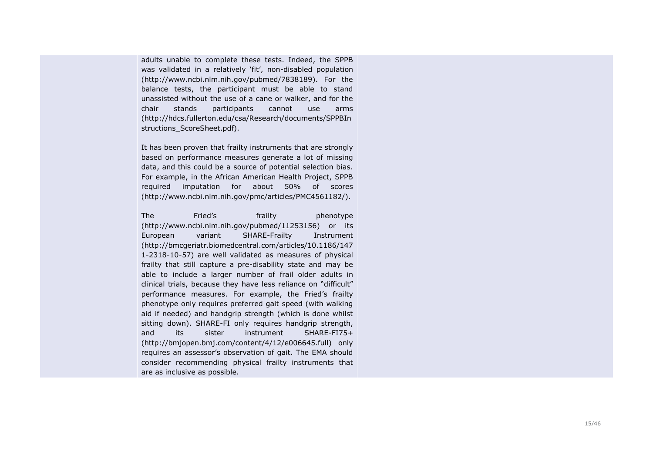adults unable to complete these tests. Indeed, the SPPB was validated in a relatively 'fit', non -disabled population (http://www.ncbi.nlm.nih.gov/pubmed/7838189). For the balance tests, the participant must be able to stand unassisted without the use of a cane or walker, and for the chair stands participants cannot use arms (http://hdcs.fullerton.edu/csa/Research/documents/SPPBIn structions ScoreSheet.pdf).

It has been proven that frailty instruments that are strongly based on performance measures generate a lot of missing data, and this could be a source of potential selection bias. For example, in the African American Health Project, SPPB required imputation for about 50% of scores (http://www.ncbi.nlm.nih.gov/pmc/articles/PMC4561182/).

The Fried's frailty phenotype (http://www.ncbi.nlm.nih.gov/pubmed/11253156) or its European variant SHARE-Frailty **Instrument** (http://bmcgeriatr.biomedcentral.com/articles/10.1186/147 1-2318-10-57) are well validated as measures of physical frailty that still capture a pre -disability state and may be able to include a larger number of frail older adults in clinical trials, because they have less reliance on "difficult" performance measures. For example, the Fried's frailty phenotype only requires preferred gait speed (with walking aid if needed) and handgrip strength (which is done whilst sitting down). SHARE -FI only requires handgrip strength, and its sister instrument  $SHARE-FI75+$ (http://bmjopen.bmj.com/content/4/12/e006645.full) only requires an assessor's observation of gait. The EMA should consider recommending physical frailty instruments that are as inclusive as possible.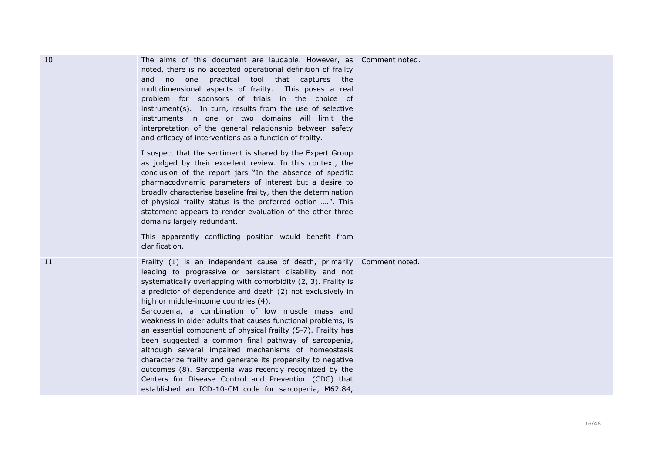| 10 | The aims of this document are laudable. However, as Comment noted.<br>noted, there is no accepted operational definition of frailty<br>and no one practical tool that captures the<br>multidimensional aspects of frailty. This poses a real<br>problem for sponsors of trials in the choice of<br>instrument(s). In turn, results from the use of selective<br>instruments in one or two domains will limit the<br>interpretation of the general relationship between safety<br>and efficacy of interventions as a function of frailty.<br>I suspect that the sentiment is shared by the Expert Group<br>as judged by their excellent review. In this context, the<br>conclusion of the report jars "In the absence of specific<br>pharmacodynamic parameters of interest but a desire to<br>broadly characterise baseline frailty, then the determination<br>of physical frailty status is the preferred option ". This<br>statement appears to render evaluation of the other three<br>domains largely redundant. |  |
|----|----------------------------------------------------------------------------------------------------------------------------------------------------------------------------------------------------------------------------------------------------------------------------------------------------------------------------------------------------------------------------------------------------------------------------------------------------------------------------------------------------------------------------------------------------------------------------------------------------------------------------------------------------------------------------------------------------------------------------------------------------------------------------------------------------------------------------------------------------------------------------------------------------------------------------------------------------------------------------------------------------------------------|--|
|    | This apparently conflicting position would benefit from<br>clarification.                                                                                                                                                                                                                                                                                                                                                                                                                                                                                                                                                                                                                                                                                                                                                                                                                                                                                                                                            |  |
| 11 | Frailty (1) is an independent cause of death, primarily Comment noted.<br>leading to progressive or persistent disability and not<br>systematically overlapping with comorbidity (2, 3). Frailty is<br>a predictor of dependence and death (2) not exclusively in<br>high or middle-income countries (4).<br>Sarcopenia, a combination of low muscle mass and<br>weakness in older adults that causes functional problems, is<br>an essential component of physical frailty (5-7). Frailty has<br>been suggested a common final pathway of sarcopenia,<br>although several impaired mechanisms of homeostasis<br>characterize frailty and generate its propensity to negative<br>outcomes (8). Sarcopenia was recently recognized by the<br>Centers for Disease Control and Prevention (CDC) that<br>established an ICD-10-CM code for sarcopenia, M62.84,                                                                                                                                                           |  |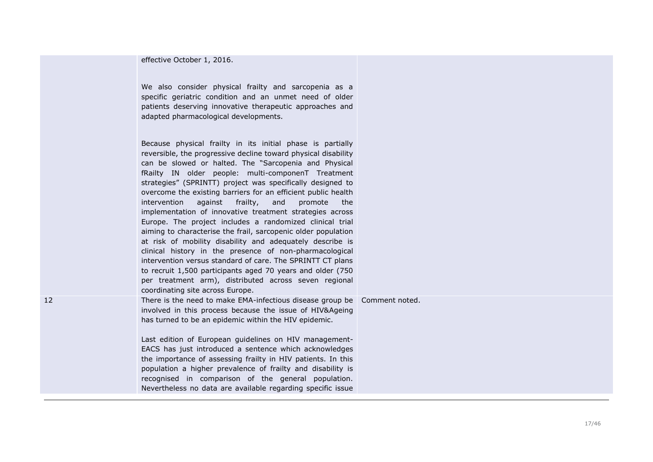| effective October 1, 2016. |  |
|----------------------------|--|
|----------------------------|--|

We also consider physical frailty and sarcopenia as a specific geriatric condition and an unmet need of older patients deserving innovative therapeutic approaches and adapted pharmacological developments.

Because physical frailty in its initial phase is partially reversible, the progressive decline toward physical disability can be slowed or halted. The "Sarcopenia and Physical fRailty IN older people: multi -componenT Treatment strategies" (SPRINTT) project was specifically designed to overcome the existing barriers for an efficient public health intervention against frailty, and promote the implementation of innovative treatment strategies across Europe. The project includes a randomized clinical trial aiming to characterise the frail, sarcopenic older population at risk of mobility disability and adequately describe is clinical history in the presence of non -pharmacological intervention versus standard of care. The SPRINTT CT plans to recruit 1,500 participants aged 70 years and older (750 per treatment arm), distributed across seven regional coordinating site across Europe.

12 **There is the need to make EMA-infectious disease group be** Comment noted. involved in this process because the issue of HIV&Ageing has turned to be an epidemic within the HIV epidemic.

> Last edition of European guidelines on HIV management-EACS has just introduced a sentence which acknowledges the importance of assessing frailty in HIV patients. In this population a higher prevalence of frailty and disability is recognised in comparison of the general population. Nevertheless no data are available regarding specific issue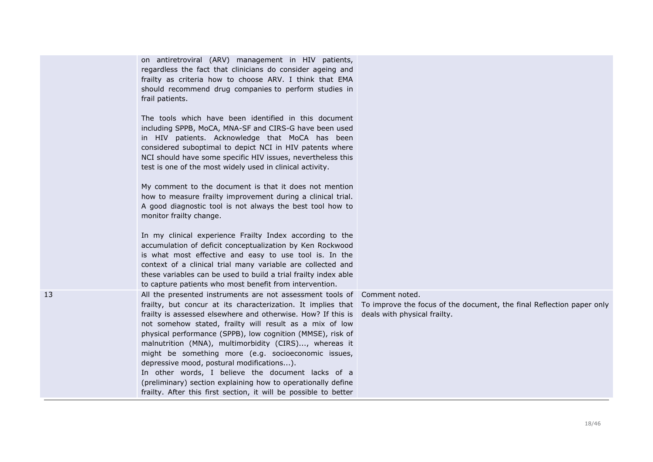on antiretroviral (ARV) management in HIV patients, regardless the fact that clinicians do consider ageing and frailty as criteria how to choose ARV. I think that EMA should recommend drug companies to perform studies in frail patients.

The tools which have been identified in this document including SPPB, MoCA, MNA-SF and CIRS-G have been used in HIV patients. Acknowledge that MoCA has been considered suboptimal to depict NCI in HIV patents where NCI should have some specific HIV issues, nevertheless this test is one of the most widely used in clinical activity.

My comment to the document is that it does not mention how to measure frailty improvement during a clinical trial. A good diagnostic tool is not always the best tool how to monitor frailty change.

In my clinical experience Frailty Index according to the accumulation of deficit conceptualization by Ken Rockwood is what most effective and easy to use tool is. In the context of a clinical trial many variable are collected and these variables can be used to build a trial frailty index able to capture patients who most benefit from intervention.

13 All the presented instruments are not assessment tools of Comment noted. frailty is assessed elsewhere and otherwise. How? If this is not somehow stated, frailty will result as a mix of low physical performance (SPPB), low cognition (MMSE), risk of malnutrition (MNA), multimorbidity (CIRS)..., whereas it might be something more (e.g. socioeconomic issues, depressive mood, postural modifications...). In other words, I believe the document lacks of a (preliminary) section explaining how to operationally define frailty. After this first section, it will be possible to better

frailty, but concur at its characterization. It implies that To improve the focus of the document, the final Reflection paper only deals with physical frailty.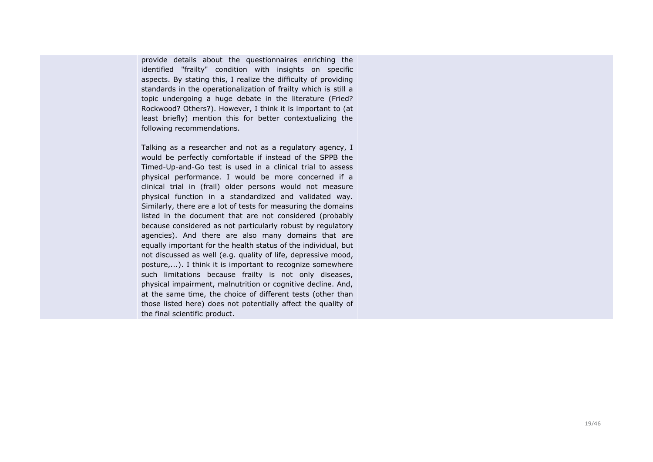provide details about the questionnaires enriching the identified "frailty" condition with insights on specific aspects. By stating this, I realize the difficulty of providing standards in the operationalization of frailty which is still a topic undergoing a huge debate in the literature (Fried? Rockwood? Others?). However, I think it is important to (at least briefly) mention this for better contextualizing the following recommendations.

Talking as a researcher and not as a regulatory agency, I would be perfectly comfortable if instead of the SPPB the Timed-Up-and-Go test is used in a clinical trial to assess physical performance. I would be more concerned if a clinical trial in (frail) older persons would not measure physical function in a standardized and validated way. Similarly, there are a lot of tests for measuring the domains listed in the document that are not considered (probably because considered as not particularly robust by regulatory agencies). And there are also many domains that are equally important for the health status of the individual, but not discussed as well (e.g. quality of life, depressive mood, posture,...). I think it is important to recognize somewhere such limitations because frailty is not only diseases, physical impairment, malnutrition or cognitive decline. And, at the same time, the choice of different tests (other than those listed here) does not potentially affect the quality of the final scientific product.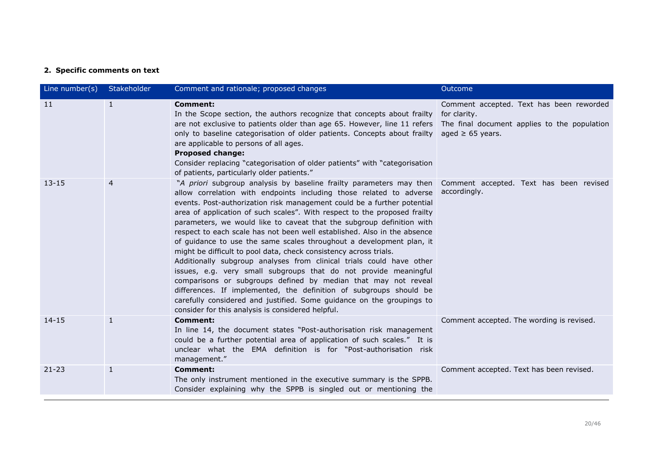# **2. Specific comments on text**

| Line number(s) | Stakeholder    | Comment and rationale; proposed changes                                                                                                                                                                                                                                                                                                                                                                                                                                                                                                                                                                                                                                                                                                                                                                                                                                                                                                                                                                                | Outcome                                                  |
|----------------|----------------|------------------------------------------------------------------------------------------------------------------------------------------------------------------------------------------------------------------------------------------------------------------------------------------------------------------------------------------------------------------------------------------------------------------------------------------------------------------------------------------------------------------------------------------------------------------------------------------------------------------------------------------------------------------------------------------------------------------------------------------------------------------------------------------------------------------------------------------------------------------------------------------------------------------------------------------------------------------------------------------------------------------------|----------------------------------------------------------|
| 11             | $\mathbf{1}$   | <b>Comment:</b><br>In the Scope section, the authors recognize that concepts about frailty<br>are not exclusive to patients older than age 65. However, line 11 refers The final document applies to the population<br>only to baseline categorisation of older patients. Concepts about frailty aged $\geq 65$ years.<br>are applicable to persons of all ages.<br><b>Proposed change:</b><br>Consider replacing "categorisation of older patients" with "categorisation<br>of patients, particularly older patients."                                                                                                                                                                                                                                                                                                                                                                                                                                                                                                | Comment accepted. Text has been reworded<br>for clarity. |
| $13 - 15$      | $\overline{4}$ | "A priori subgroup analysis by baseline frailty parameters may then<br>allow correlation with endpoints including those related to adverse<br>events. Post-authorization risk management could be a further potential<br>area of application of such scales". With respect to the proposed frailty<br>parameters, we would like to caveat that the subgroup definition with<br>respect to each scale has not been well established. Also in the absence<br>of guidance to use the same scales throughout a development plan, it<br>might be difficult to pool data, check consistency across trials.<br>Additionally subgroup analyses from clinical trials could have other<br>issues, e.g. very small subgroups that do not provide meaningful<br>comparisons or subgroups defined by median that may not reveal<br>differences. If implemented, the definition of subgroups should be<br>carefully considered and justified. Some guidance on the groupings to<br>consider for this analysis is considered helpful. | Comment accepted. Text has been revised<br>accordingly.  |
| $14 - 15$      | $\mathbf{1}$   | <b>Comment:</b><br>In line 14, the document states "Post-authorisation risk management<br>could be a further potential area of application of such scales." It is<br>unclear what the EMA definition is for "Post-authorisation risk<br>management."                                                                                                                                                                                                                                                                                                                                                                                                                                                                                                                                                                                                                                                                                                                                                                   | Comment accepted. The wording is revised.                |
| $21 - 23$      | $\mathbf{1}$   | <b>Comment:</b><br>The only instrument mentioned in the executive summary is the SPPB.<br>Consider explaining why the SPPB is singled out or mentioning the                                                                                                                                                                                                                                                                                                                                                                                                                                                                                                                                                                                                                                                                                                                                                                                                                                                            | Comment accepted. Text has been revised.                 |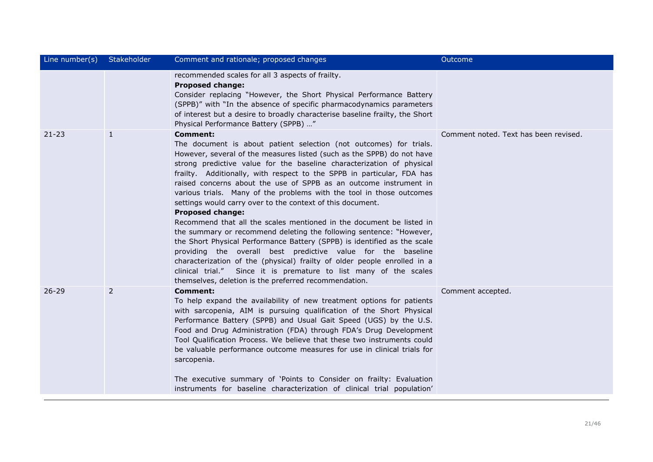| Line number(s) | Stakeholder    | Comment and rationale; proposed changes                                                                                                                                                                                                                                                                                                                                                                                                                                                                                                                                                                                                                                                                                                                                                                                                                                                                                                                                                                                                                       | Outcome                               |
|----------------|----------------|---------------------------------------------------------------------------------------------------------------------------------------------------------------------------------------------------------------------------------------------------------------------------------------------------------------------------------------------------------------------------------------------------------------------------------------------------------------------------------------------------------------------------------------------------------------------------------------------------------------------------------------------------------------------------------------------------------------------------------------------------------------------------------------------------------------------------------------------------------------------------------------------------------------------------------------------------------------------------------------------------------------------------------------------------------------|---------------------------------------|
|                |                | recommended scales for all 3 aspects of frailty.<br><b>Proposed change:</b><br>Consider replacing "However, the Short Physical Performance Battery<br>(SPPB)" with "In the absence of specific pharmacodynamics parameters<br>of interest but a desire to broadly characterise baseline frailty, the Short<br>Physical Performance Battery (SPPB) "                                                                                                                                                                                                                                                                                                                                                                                                                                                                                                                                                                                                                                                                                                           |                                       |
| $21 - 23$      | $\mathbf{1}$   | <b>Comment:</b><br>The document is about patient selection (not outcomes) for trials.<br>However, several of the measures listed (such as the SPPB) do not have<br>strong predictive value for the baseline characterization of physical<br>frailty. Additionally, with respect to the SPPB in particular, FDA has<br>raised concerns about the use of SPPB as an outcome instrument in<br>various trials. Many of the problems with the tool in those outcomes<br>settings would carry over to the context of this document.<br><b>Proposed change:</b><br>Recommend that all the scales mentioned in the document be listed in<br>the summary or recommend deleting the following sentence: "However,<br>the Short Physical Performance Battery (SPPB) is identified as the scale<br>providing the overall best predictive value for the baseline<br>characterization of the (physical) frailty of older people enrolled in a<br>clinical trial." Since it is premature to list many of the scales<br>themselves, deletion is the preferred recommendation. | Comment noted. Text has been revised. |
| $26 - 29$      | $\overline{2}$ | <b>Comment:</b><br>To help expand the availability of new treatment options for patients<br>with sarcopenia, AIM is pursuing qualification of the Short Physical<br>Performance Battery (SPPB) and Usual Gait Speed (UGS) by the U.S.<br>Food and Drug Administration (FDA) through FDA's Drug Development<br>Tool Qualification Process. We believe that these two instruments could<br>be valuable performance outcome measures for use in clinical trials for<br>sarcopenia.<br>The executive summary of 'Points to Consider on frailty: Evaluation<br>instruments for baseline characterization of clinical trial population'                                                                                                                                                                                                                                                                                                                                                                                                                             | Comment accepted.                     |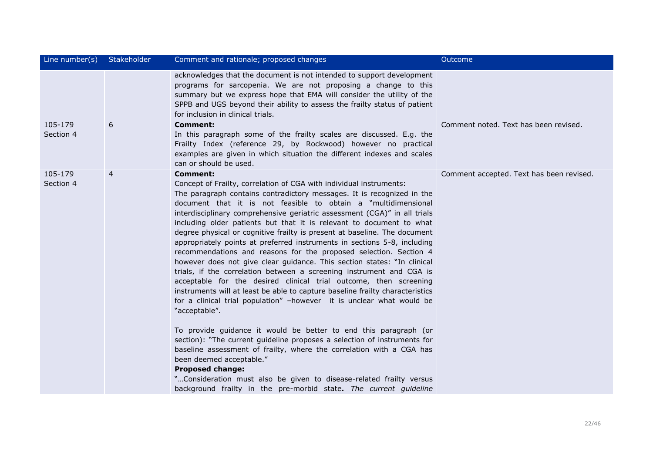| Line number(s)       | Stakeholder    | Comment and rationale; proposed changes                                                                                                                                                                                                                                                                                                                                                                                                                                                                                                                                                                                                                                                                                                                                                                                                                                                                                                                                                                                                                                                                                                                                                                                                                                                                                                                                                                                                             | Outcome                                  |
|----------------------|----------------|-----------------------------------------------------------------------------------------------------------------------------------------------------------------------------------------------------------------------------------------------------------------------------------------------------------------------------------------------------------------------------------------------------------------------------------------------------------------------------------------------------------------------------------------------------------------------------------------------------------------------------------------------------------------------------------------------------------------------------------------------------------------------------------------------------------------------------------------------------------------------------------------------------------------------------------------------------------------------------------------------------------------------------------------------------------------------------------------------------------------------------------------------------------------------------------------------------------------------------------------------------------------------------------------------------------------------------------------------------------------------------------------------------------------------------------------------------|------------------------------------------|
|                      |                | acknowledges that the document is not intended to support development<br>programs for sarcopenia. We are not proposing a change to this<br>summary but we express hope that EMA will consider the utility of the<br>SPPB and UGS beyond their ability to assess the frailty status of patient<br>for inclusion in clinical trials.                                                                                                                                                                                                                                                                                                                                                                                                                                                                                                                                                                                                                                                                                                                                                                                                                                                                                                                                                                                                                                                                                                                  |                                          |
| 105-179<br>Section 4 | 6              | Comment:<br>In this paragraph some of the frailty scales are discussed. E.g. the<br>Frailty Index (reference 29, by Rockwood) however no practical<br>examples are given in which situation the different indexes and scales<br>can or should be used.                                                                                                                                                                                                                                                                                                                                                                                                                                                                                                                                                                                                                                                                                                                                                                                                                                                                                                                                                                                                                                                                                                                                                                                              | Comment noted. Text has been revised.    |
| 105-179<br>Section 4 | $\overline{4}$ | <b>Comment:</b><br>Concept of Frailty, correlation of CGA with individual instruments:<br>The paragraph contains contradictory messages. It is recognized in the<br>document that it is not feasible to obtain a "multidimensional<br>interdisciplinary comprehensive geriatric assessment (CGA)" in all trials<br>including older patients but that it is relevant to document to what<br>degree physical or cognitive frailty is present at baseline. The document<br>appropriately points at preferred instruments in sections 5-8, including<br>recommendations and reasons for the proposed selection. Section 4<br>however does not give clear guidance. This section states: "In clinical<br>trials, if the correlation between a screening instrument and CGA is<br>acceptable for the desired clinical trial outcome, then screening<br>instruments will at least be able to capture baseline frailty characteristics<br>for a clinical trial population" -however it is unclear what would be<br>"acceptable".<br>To provide guidance it would be better to end this paragraph (or<br>section): "The current guideline proposes a selection of instruments for<br>baseline assessment of frailty, where the correlation with a CGA has<br>been deemed acceptable."<br><b>Proposed change:</b><br>"Consideration must also be given to disease-related frailty versus<br>background frailty in the pre-morbid state. The current guideline | Comment accepted. Text has been revised. |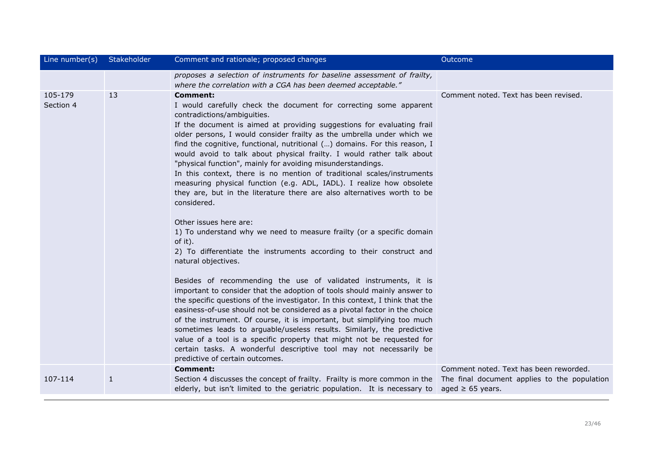| Line number(s)       | Stakeholder  | Comment and rationale; proposed changes                                                                                                                                                                                                                                                                                                                                                                                                                                                                                                                                                                                                                                                                                                                                                                                                                                                                                                                                                                                                                                                                                                                                                                                                                                                                                                                                                                                                                                                                                                                            | Outcome                                |
|----------------------|--------------|--------------------------------------------------------------------------------------------------------------------------------------------------------------------------------------------------------------------------------------------------------------------------------------------------------------------------------------------------------------------------------------------------------------------------------------------------------------------------------------------------------------------------------------------------------------------------------------------------------------------------------------------------------------------------------------------------------------------------------------------------------------------------------------------------------------------------------------------------------------------------------------------------------------------------------------------------------------------------------------------------------------------------------------------------------------------------------------------------------------------------------------------------------------------------------------------------------------------------------------------------------------------------------------------------------------------------------------------------------------------------------------------------------------------------------------------------------------------------------------------------------------------------------------------------------------------|----------------------------------------|
|                      |              | proposes a selection of instruments for baseline assessment of frailty,<br>where the correlation with a CGA has been deemed acceptable."                                                                                                                                                                                                                                                                                                                                                                                                                                                                                                                                                                                                                                                                                                                                                                                                                                                                                                                                                                                                                                                                                                                                                                                                                                                                                                                                                                                                                           |                                        |
| 105-179<br>Section 4 | 13           | Comment:<br>I would carefully check the document for correcting some apparent<br>contradictions/ambiguities.<br>If the document is aimed at providing suggestions for evaluating frail<br>older persons, I would consider frailty as the umbrella under which we<br>find the cognitive, functional, nutritional () domains. For this reason, I<br>would avoid to talk about physical frailty. I would rather talk about<br>"physical function", mainly for avoiding misunderstandings.<br>In this context, there is no mention of traditional scales/instruments<br>measuring physical function (e.g. ADL, IADL). I realize how obsolete<br>they are, but in the literature there are also alternatives worth to be<br>considered.<br>Other issues here are:<br>1) To understand why we need to measure frailty (or a specific domain<br>of it).<br>2) To differentiate the instruments according to their construct and<br>natural objectives.<br>Besides of recommending the use of validated instruments, it is<br>important to consider that the adoption of tools should mainly answer to<br>the specific questions of the investigator. In this context, I think that the<br>easiness-of-use should not be considered as a pivotal factor in the choice<br>of the instrument. Of course, it is important, but simplifying too much<br>sometimes leads to arguable/useless results. Similarly, the predictive<br>value of a tool is a specific property that might not be requested for<br>certain tasks. A wonderful descriptive tool may not necessarily be | Comment noted. Text has been revised.  |
|                      |              | predictive of certain outcomes.<br><b>Comment:</b>                                                                                                                                                                                                                                                                                                                                                                                                                                                                                                                                                                                                                                                                                                                                                                                                                                                                                                                                                                                                                                                                                                                                                                                                                                                                                                                                                                                                                                                                                                                 | Comment noted. Text has been reworded. |
| 107-114              | $\mathbf{1}$ | Section 4 discusses the concept of frailty. Frailty is more common in the The final document applies to the population<br>elderly, but isn't limited to the geriatric population. It is necessary to aged $\geq 65$ years.                                                                                                                                                                                                                                                                                                                                                                                                                                                                                                                                                                                                                                                                                                                                                                                                                                                                                                                                                                                                                                                                                                                                                                                                                                                                                                                                         |                                        |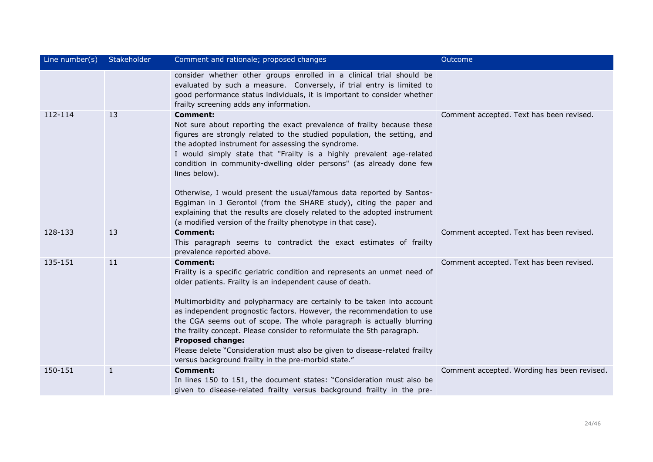| Line number(s) | Stakeholder  | Comment and rationale; proposed changes                                                                                                                                                                                                                                                                                                                                                                                                                                                                                                                                                                                                                                               | Outcome                                     |
|----------------|--------------|---------------------------------------------------------------------------------------------------------------------------------------------------------------------------------------------------------------------------------------------------------------------------------------------------------------------------------------------------------------------------------------------------------------------------------------------------------------------------------------------------------------------------------------------------------------------------------------------------------------------------------------------------------------------------------------|---------------------------------------------|
|                |              | consider whether other groups enrolled in a clinical trial should be<br>evaluated by such a measure. Conversely, if trial entry is limited to<br>good performance status individuals, it is important to consider whether<br>frailty screening adds any information.                                                                                                                                                                                                                                                                                                                                                                                                                  |                                             |
| 112-114        | 13           | <b>Comment:</b><br>Not sure about reporting the exact prevalence of frailty because these<br>figures are strongly related to the studied population, the setting, and<br>the adopted instrument for assessing the syndrome.<br>I would simply state that "Frailty is a highly prevalent age-related<br>condition in community-dwelling older persons" (as already done few<br>lines below).<br>Otherwise, I would present the usual/famous data reported by Santos-<br>Eggiman in J Gerontol (from the SHARE study), citing the paper and<br>explaining that the results are closely related to the adopted instrument<br>(a modified version of the frailty phenotype in that case). | Comment accepted. Text has been revised.    |
| 128-133        | 13           | <b>Comment:</b><br>This paragraph seems to contradict the exact estimates of frailty<br>prevalence reported above.                                                                                                                                                                                                                                                                                                                                                                                                                                                                                                                                                                    | Comment accepted. Text has been revised.    |
| 135-151        | 11           | <b>Comment:</b><br>Frailty is a specific geriatric condition and represents an unmet need of<br>older patients. Frailty is an independent cause of death.<br>Multimorbidity and polypharmacy are certainly to be taken into account<br>as independent prognostic factors. However, the recommendation to use<br>the CGA seems out of scope. The whole paragraph is actually blurring<br>the frailty concept. Please consider to reformulate the 5th paragraph.<br><b>Proposed change:</b><br>Please delete "Consideration must also be given to disease-related frailty<br>versus background frailty in the pre-morbid state."                                                        | Comment accepted. Text has been revised.    |
| 150-151        | $\mathbf{1}$ | <b>Comment:</b><br>In lines 150 to 151, the document states: "Consideration must also be<br>given to disease-related frailty versus background frailty in the pre-                                                                                                                                                                                                                                                                                                                                                                                                                                                                                                                    | Comment accepted. Wording has been revised. |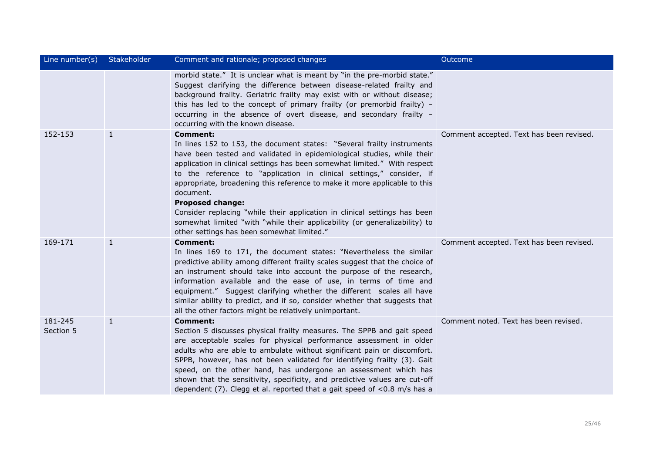| Line number(s)       | Stakeholder  | Comment and rationale; proposed changes                                                                                                                                                                                                                                                                                                                                                                                                                                                                                                                                                                                                                | <b>Outcome</b>                           |
|----------------------|--------------|--------------------------------------------------------------------------------------------------------------------------------------------------------------------------------------------------------------------------------------------------------------------------------------------------------------------------------------------------------------------------------------------------------------------------------------------------------------------------------------------------------------------------------------------------------------------------------------------------------------------------------------------------------|------------------------------------------|
|                      |              | morbid state." It is unclear what is meant by "in the pre-morbid state."<br>Suggest clarifying the difference between disease-related frailty and<br>background frailty. Geriatric frailty may exist with or without disease;<br>this has led to the concept of primary frailty (or premorbid frailty) $-$<br>occurring in the absence of overt disease, and secondary frailty -<br>occurring with the known disease.                                                                                                                                                                                                                                  |                                          |
| 152-153              | $\mathbf{1}$ | <b>Comment:</b><br>In lines 152 to 153, the document states: "Several frailty instruments<br>have been tested and validated in epidemiological studies, while their<br>application in clinical settings has been somewhat limited." With respect<br>to the reference to "application in clinical settings," consider, if<br>appropriate, broadening this reference to make it more applicable to this<br>document.<br><b>Proposed change:</b><br>Consider replacing "while their application in clinical settings has been<br>somewhat limited "with "while their applicability (or generalizability) to<br>other settings has been somewhat limited." | Comment accepted. Text has been revised. |
| 169-171              | $\mathbf{1}$ | <b>Comment:</b><br>In lines 169 to 171, the document states: "Nevertheless the similar<br>predictive ability among different frailty scales suggest that the choice of<br>an instrument should take into account the purpose of the research,<br>information available and the ease of use, in terms of time and<br>equipment." Suggest clarifying whether the different scales all have<br>similar ability to predict, and if so, consider whether that suggests that<br>all the other factors might be relatively unimportant.                                                                                                                       | Comment accepted. Text has been revised. |
| 181-245<br>Section 5 | $\mathbf{1}$ | <b>Comment:</b><br>Section 5 discusses physical frailty measures. The SPPB and gait speed<br>are acceptable scales for physical performance assessment in older<br>adults who are able to ambulate without significant pain or discomfort.<br>SPPB, however, has not been validated for identifying frailty (3). Gait<br>speed, on the other hand, has undergone an assessment which has<br>shown that the sensitivity, specificity, and predictive values are cut-off<br>dependent (7). Clegg et al. reported that a gait speed of $<$ 0.8 m/s has a                                                                                                  | Comment noted. Text has been revised.    |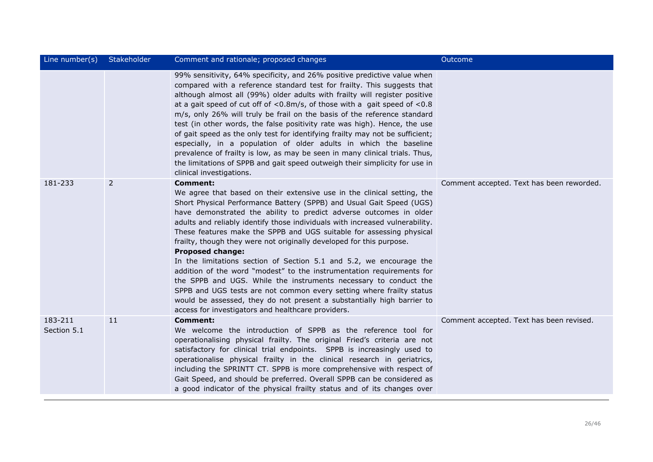| Line number(s)         | Stakeholder | Comment and rationale; proposed changes                                                                                                                                                                                                                                                                                                                                                                                                                                                                                                                                                                                                                                                                                                                                                                                                                                                                                         | <b>Outcome</b>                            |
|------------------------|-------------|---------------------------------------------------------------------------------------------------------------------------------------------------------------------------------------------------------------------------------------------------------------------------------------------------------------------------------------------------------------------------------------------------------------------------------------------------------------------------------------------------------------------------------------------------------------------------------------------------------------------------------------------------------------------------------------------------------------------------------------------------------------------------------------------------------------------------------------------------------------------------------------------------------------------------------|-------------------------------------------|
|                        |             | 99% sensitivity, 64% specificity, and 26% positive predictive value when<br>compared with a reference standard test for frailty. This suggests that<br>although almost all (99%) older adults with frailty will register positive<br>at a gait speed of cut off of $<$ 0.8m/s, of those with a gait speed of $<$ 0.8<br>m/s, only 26% will truly be frail on the basis of the reference standard<br>test (in other words, the false positivity rate was high). Hence, the use<br>of gait speed as the only test for identifying frailty may not be sufficient;<br>especially, in a population of older adults in which the baseline<br>prevalence of frailty is low, as may be seen in many clinical trials. Thus,<br>the limitations of SPPB and gait speed outweigh their simplicity for use in<br>clinical investigations.                                                                                                   |                                           |
| 181-233                | 2           | <b>Comment:</b><br>We agree that based on their extensive use in the clinical setting, the<br>Short Physical Performance Battery (SPPB) and Usual Gait Speed (UGS)<br>have demonstrated the ability to predict adverse outcomes in older<br>adults and reliably identify those individuals with increased vulnerability.<br>These features make the SPPB and UGS suitable for assessing physical<br>frailty, though they were not originally developed for this purpose.<br><b>Proposed change:</b><br>In the limitations section of Section 5.1 and 5.2, we encourage the<br>addition of the word "modest" to the instrumentation requirements for<br>the SPPB and UGS. While the instruments necessary to conduct the<br>SPPB and UGS tests are not common every setting where frailty status<br>would be assessed, they do not present a substantially high barrier to<br>access for investigators and healthcare providers. | Comment accepted. Text has been reworded. |
| 183-211<br>Section 5.1 | 11          | <b>Comment:</b><br>We welcome the introduction of SPPB as the reference tool for<br>operationalising physical frailty. The original Fried's criteria are not<br>satisfactory for clinical trial endpoints. SPPB is increasingly used to<br>operationalise physical frailty in the clinical research in geriatrics,<br>including the SPRINTT CT. SPPB is more comprehensive with respect of<br>Gait Speed, and should be preferred. Overall SPPB can be considered as<br>a good indicator of the physical frailty status and of its changes over                                                                                                                                                                                                                                                                                                                                                                                 | Comment accepted. Text has been revised.  |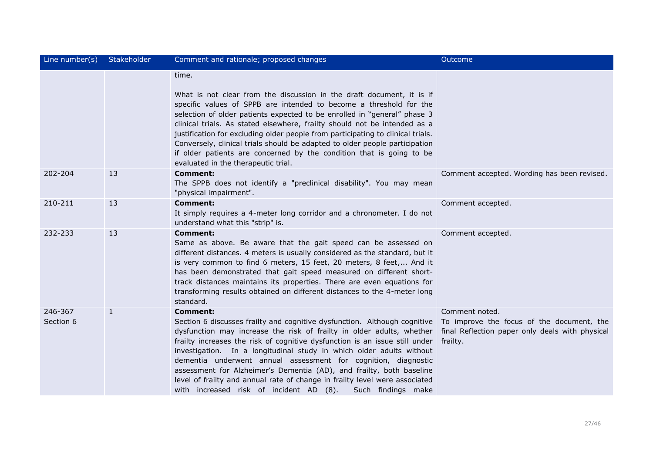| Line number(s)       | Stakeholder  | Comment and rationale; proposed changes                                                                                                                                                                                                                                                                                                                                                                                                                                                                                                                                                                                | Outcome                                                                                                                    |
|----------------------|--------------|------------------------------------------------------------------------------------------------------------------------------------------------------------------------------------------------------------------------------------------------------------------------------------------------------------------------------------------------------------------------------------------------------------------------------------------------------------------------------------------------------------------------------------------------------------------------------------------------------------------------|----------------------------------------------------------------------------------------------------------------------------|
|                      |              | time.<br>What is not clear from the discussion in the draft document, it is if<br>specific values of SPPB are intended to become a threshold for the<br>selection of older patients expected to be enrolled in "general" phase 3<br>clinical trials. As stated elsewhere, frailty should not be intended as a<br>justification for excluding older people from participating to clinical trials.<br>Conversely, clinical trials should be adapted to older people participation<br>if older patients are concerned by the condition that is going to be<br>evaluated in the therapeutic trial.                         |                                                                                                                            |
| 202-204              | 13           | <b>Comment:</b><br>The SPPB does not identify a "preclinical disability". You may mean<br>"physical impairment".                                                                                                                                                                                                                                                                                                                                                                                                                                                                                                       | Comment accepted. Wording has been revised.                                                                                |
| 210-211              | 13           | <b>Comment:</b><br>It simply requires a 4-meter long corridor and a chronometer. I do not<br>understand what this "strip" is.                                                                                                                                                                                                                                                                                                                                                                                                                                                                                          | Comment accepted.                                                                                                          |
| 232-233              | 13           | <b>Comment:</b><br>Same as above. Be aware that the gait speed can be assessed on<br>different distances. 4 meters is usually considered as the standard, but it<br>is very common to find 6 meters, 15 feet, 20 meters, 8 feet, And it<br>has been demonstrated that gait speed measured on different short-<br>track distances maintains its properties. There are even equations for<br>transforming results obtained on different distances to the 4-meter long<br>standard.                                                                                                                                       | Comment accepted.                                                                                                          |
| 246-367<br>Section 6 | $\mathbf{1}$ | <b>Comment:</b><br>Section 6 discusses frailty and cognitive dysfunction. Although cognitive<br>dysfunction may increase the risk of frailty in older adults, whether<br>frailty increases the risk of cognitive dysfunction is an issue still under<br>investigation. In a longitudinal study in which older adults without<br>dementia underwent annual assessment for cognition, diagnostic<br>assessment for Alzheimer's Dementia (AD), and frailty, both baseline<br>level of frailty and annual rate of change in frailty level were associated<br>with increased risk of incident AD (8).<br>Such findings make | Comment noted.<br>To improve the focus of the document, the<br>final Reflection paper only deals with physical<br>frailty. |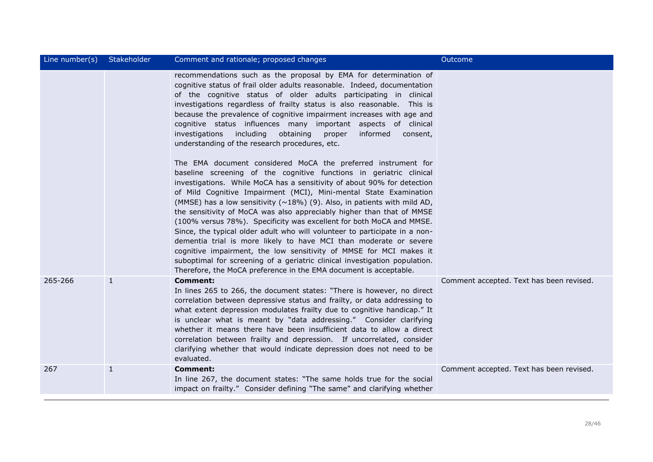| Line number(s) | Stakeholder  | Comment and rationale; proposed changes                                                                                                                                                                                                                                                                                                                                                                                                                                                                                                                                                                                                                                                                                                                                                                                                                                                                                                                                                                                                                                                                                                                                                                                                                                                                                                                                                                                                                                      | Outcome                                  |
|----------------|--------------|------------------------------------------------------------------------------------------------------------------------------------------------------------------------------------------------------------------------------------------------------------------------------------------------------------------------------------------------------------------------------------------------------------------------------------------------------------------------------------------------------------------------------------------------------------------------------------------------------------------------------------------------------------------------------------------------------------------------------------------------------------------------------------------------------------------------------------------------------------------------------------------------------------------------------------------------------------------------------------------------------------------------------------------------------------------------------------------------------------------------------------------------------------------------------------------------------------------------------------------------------------------------------------------------------------------------------------------------------------------------------------------------------------------------------------------------------------------------------|------------------------------------------|
|                |              | recommendations such as the proposal by EMA for determination of<br>cognitive status of frail older adults reasonable. Indeed, documentation<br>of the cognitive status of older adults participating in clinical<br>investigations regardless of frailty status is also reasonable. This is<br>because the prevalence of cognitive impairment increases with age and<br>cognitive status influences many important aspects of clinical<br>investigations including<br>obtaining<br>proper<br>informed<br>consent,<br>understanding of the research procedures, etc.<br>The EMA document considered MoCA the preferred instrument for<br>baseline screening of the cognitive functions in geriatric clinical<br>investigations. While MoCA has a sensitivity of about 90% for detection<br>of Mild Cognitive Impairment (MCI), Mini-mental State Examination<br>(MMSE) has a low sensitivity ( $\sim$ 18%) (9). Also, in patients with mild AD,<br>the sensitivity of MoCA was also appreciably higher than that of MMSE<br>(100% versus 78%). Specificity was excellent for both MoCA and MMSE.<br>Since, the typical older adult who will volunteer to participate in a non-<br>dementia trial is more likely to have MCI than moderate or severe<br>cognitive impairment, the low sensitivity of MMSE for MCI makes it<br>suboptimal for screening of a geriatric clinical investigation population.<br>Therefore, the MoCA preference in the EMA document is acceptable. |                                          |
| 265-266        | $\mathbf{1}$ | <b>Comment:</b><br>In lines 265 to 266, the document states: "There is however, no direct<br>correlation between depressive status and frailty, or data addressing to<br>what extent depression modulates frailty due to cognitive handicap." It<br>is unclear what is meant by "data addressing." Consider clarifying<br>whether it means there have been insufficient data to allow a direct<br>correlation between frailty and depression. If uncorrelated, consider<br>clarifying whether that would indicate depression does not need to be<br>evaluated.                                                                                                                                                                                                                                                                                                                                                                                                                                                                                                                                                                                                                                                                                                                                                                                                                                                                                                               | Comment accepted. Text has been revised. |
| 267            | $\mathbf{1}$ | <b>Comment:</b><br>In line 267, the document states: "The same holds true for the social<br>impact on frailty." Consider defining "The same" and clarifying whether                                                                                                                                                                                                                                                                                                                                                                                                                                                                                                                                                                                                                                                                                                                                                                                                                                                                                                                                                                                                                                                                                                                                                                                                                                                                                                          | Comment accepted. Text has been revised. |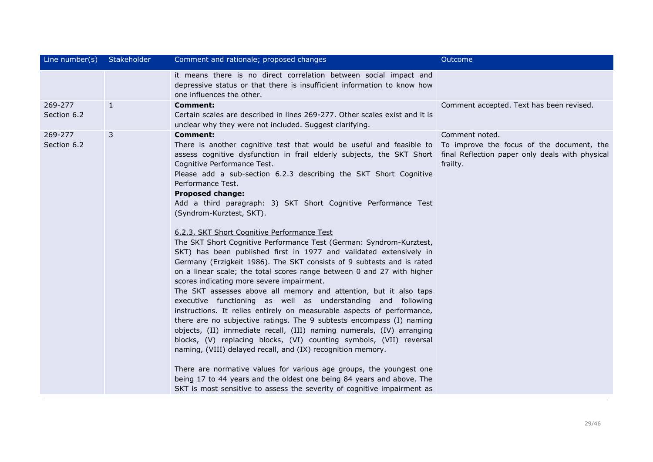| Line number(s)         | Stakeholder  | Comment and rationale; proposed changes                                                                                                                                                                                                                                                                                                                                                                                                                                                                                                                                                                                                                                                                                                                                                                                                                                                                                                                                                                                                                                                                                                                                                                                                                                                                                                                                                                                                                                                                                                                                                         | Outcome                                                                 |
|------------------------|--------------|-------------------------------------------------------------------------------------------------------------------------------------------------------------------------------------------------------------------------------------------------------------------------------------------------------------------------------------------------------------------------------------------------------------------------------------------------------------------------------------------------------------------------------------------------------------------------------------------------------------------------------------------------------------------------------------------------------------------------------------------------------------------------------------------------------------------------------------------------------------------------------------------------------------------------------------------------------------------------------------------------------------------------------------------------------------------------------------------------------------------------------------------------------------------------------------------------------------------------------------------------------------------------------------------------------------------------------------------------------------------------------------------------------------------------------------------------------------------------------------------------------------------------------------------------------------------------------------------------|-------------------------------------------------------------------------|
|                        |              | it means there is no direct correlation between social impact and<br>depressive status or that there is insufficient information to know how<br>one influences the other.                                                                                                                                                                                                                                                                                                                                                                                                                                                                                                                                                                                                                                                                                                                                                                                                                                                                                                                                                                                                                                                                                                                                                                                                                                                                                                                                                                                                                       |                                                                         |
| 269-277<br>Section 6.2 | $\mathbf{1}$ | Comment:<br>Certain scales are described in lines 269-277. Other scales exist and it is<br>unclear why they were not included. Suggest clarifying.                                                                                                                                                                                                                                                                                                                                                                                                                                                                                                                                                                                                                                                                                                                                                                                                                                                                                                                                                                                                                                                                                                                                                                                                                                                                                                                                                                                                                                              | Comment accepted. Text has been revised.                                |
| 269-277<br>Section 6.2 | 3            | <b>Comment:</b><br>There is another cognitive test that would be useful and feasible to<br>assess cognitive dysfunction in frail elderly subjects, the SKT Short final Reflection paper only deals with physical<br>Cognitive Performance Test.<br>Please add a sub-section 6.2.3 describing the SKT Short Cognitive<br>Performance Test.<br><b>Proposed change:</b><br>Add a third paragraph: 3) SKT Short Cognitive Performance Test<br>(Syndrom-Kurztest, SKT).<br>6.2.3. SKT Short Cognitive Performance Test<br>The SKT Short Cognitive Performance Test (German: Syndrom-Kurztest,<br>SKT) has been published first in 1977 and validated extensively in<br>Germany (Erzigkeit 1986). The SKT consists of 9 subtests and is rated<br>on a linear scale; the total scores range between 0 and 27 with higher<br>scores indicating more severe impairment.<br>The SKT assesses above all memory and attention, but it also taps<br>executive functioning as well as understanding and following<br>instructions. It relies entirely on measurable aspects of performance,<br>there are no subjective ratings. The 9 subtests encompass (I) naming<br>objects, (II) immediate recall, (III) naming numerals, (IV) arranging<br>blocks, (V) replacing blocks, (VI) counting symbols, (VII) reversal<br>naming, (VIII) delayed recall, and (IX) recognition memory.<br>There are normative values for various age groups, the youngest one<br>being 17 to 44 years and the oldest one being 84 years and above. The<br>SKT is most sensitive to assess the severity of cognitive impairment as | Comment noted.<br>To improve the focus of the document, the<br>frailty. |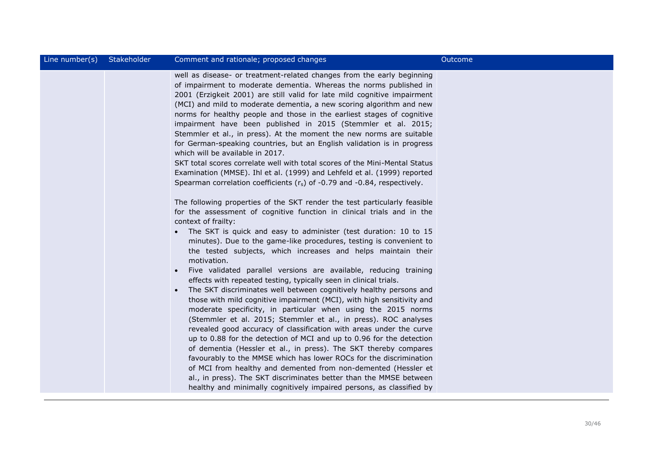| Line number(s) | Stakeholder            | Comment and rationale; proposed changes                                                                                                                                                                                                                                                                                                                                                                                                                                                                                                                                                                                                                                                                                                                                                                                                                                                                                                                                                                                                                                                                                                                                                                                                                                                                                                                                                                                                                                                                                                                                                                                                                                                                                                                                                                                                                                                                                                                                                                                                                                                                                                             | Outcome |
|----------------|------------------------|-----------------------------------------------------------------------------------------------------------------------------------------------------------------------------------------------------------------------------------------------------------------------------------------------------------------------------------------------------------------------------------------------------------------------------------------------------------------------------------------------------------------------------------------------------------------------------------------------------------------------------------------------------------------------------------------------------------------------------------------------------------------------------------------------------------------------------------------------------------------------------------------------------------------------------------------------------------------------------------------------------------------------------------------------------------------------------------------------------------------------------------------------------------------------------------------------------------------------------------------------------------------------------------------------------------------------------------------------------------------------------------------------------------------------------------------------------------------------------------------------------------------------------------------------------------------------------------------------------------------------------------------------------------------------------------------------------------------------------------------------------------------------------------------------------------------------------------------------------------------------------------------------------------------------------------------------------------------------------------------------------------------------------------------------------------------------------------------------------------------------------------------------------|---------|
|                | $\bullet$<br>$\bullet$ | well as disease- or treatment-related changes from the early beginning<br>of impairment to moderate dementia. Whereas the norms published in<br>2001 (Erzigkeit 2001) are still valid for late mild cognitive impairment<br>(MCI) and mild to moderate dementia, a new scoring algorithm and new<br>norms for healthy people and those in the earliest stages of cognitive<br>impairment have been published in 2015 (Stemmler et al. 2015;<br>Stemmler et al., in press). At the moment the new norms are suitable<br>for German-speaking countries, but an English validation is in progress<br>which will be available in 2017.<br>SKT total scores correlate well with total scores of the Mini-Mental Status<br>Examination (MMSE). Ihl et al. (1999) and Lehfeld et al. (1999) reported<br>Spearman correlation coefficients $(r_s)$ of -0.79 and -0.84, respectively.<br>The following properties of the SKT render the test particularly feasible<br>for the assessment of cognitive function in clinical trials and in the<br>context of frailty:<br>The SKT is quick and easy to administer (test duration: 10 to 15<br>minutes). Due to the game-like procedures, testing is convenient to<br>the tested subjects, which increases and helps maintain their<br>motivation.<br>Five validated parallel versions are available, reducing training<br>effects with repeated testing, typically seen in clinical trials.<br>The SKT discriminates well between cognitively healthy persons and<br>those with mild cognitive impairment (MCI), with high sensitivity and<br>moderate specificity, in particular when using the 2015 norms<br>(Stemmler et al. 2015; Stemmler et al., in press). ROC analyses<br>revealed good accuracy of classification with areas under the curve<br>up to 0.88 for the detection of MCI and up to 0.96 for the detection<br>of dementia (Hessler et al., in press). The SKT thereby compares<br>favourably to the MMSE which has lower ROCs for the discrimination<br>of MCI from healthy and demented from non-demented (Hessler et<br>al., in press). The SKT discriminates better than the MMSE between |         |
|                |                        | healthy and minimally cognitively impaired persons, as classified by                                                                                                                                                                                                                                                                                                                                                                                                                                                                                                                                                                                                                                                                                                                                                                                                                                                                                                                                                                                                                                                                                                                                                                                                                                                                                                                                                                                                                                                                                                                                                                                                                                                                                                                                                                                                                                                                                                                                                                                                                                                                                |         |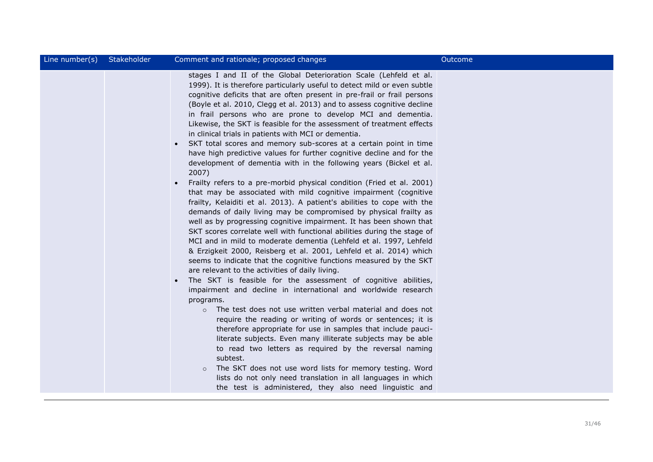| Line number(s) | Stakeholder | Comment and rationale; proposed changes                                                                                                                                                                                                                                                                                                                                                                                                                                                                                                                                                                                                                                                                                                                                                                                                                                                                                                                                                                                                                                                                                                                                                                                                                                                                                                                                                                                                                                                                                                                                                                                                                                                                                                                                                                                                                                                                                                                                                                                                                                                                                                                                                     | Outcome |
|----------------|-------------|---------------------------------------------------------------------------------------------------------------------------------------------------------------------------------------------------------------------------------------------------------------------------------------------------------------------------------------------------------------------------------------------------------------------------------------------------------------------------------------------------------------------------------------------------------------------------------------------------------------------------------------------------------------------------------------------------------------------------------------------------------------------------------------------------------------------------------------------------------------------------------------------------------------------------------------------------------------------------------------------------------------------------------------------------------------------------------------------------------------------------------------------------------------------------------------------------------------------------------------------------------------------------------------------------------------------------------------------------------------------------------------------------------------------------------------------------------------------------------------------------------------------------------------------------------------------------------------------------------------------------------------------------------------------------------------------------------------------------------------------------------------------------------------------------------------------------------------------------------------------------------------------------------------------------------------------------------------------------------------------------------------------------------------------------------------------------------------------------------------------------------------------------------------------------------------------|---------|
|                |             | stages I and II of the Global Deterioration Scale (Lehfeld et al.<br>1999). It is therefore particularly useful to detect mild or even subtle<br>cognitive deficits that are often present in pre-frail or frail persons<br>(Boyle et al. 2010, Clegg et al. 2013) and to assess cognitive decline<br>in frail persons who are prone to develop MCI and dementia.<br>Likewise, the SKT is feasible for the assessment of treatment effects<br>in clinical trials in patients with MCI or dementia.<br>SKT total scores and memory sub-scores at a certain point in time<br>$\bullet$<br>have high predictive values for further cognitive decline and for the<br>development of dementia with in the following years (Bickel et al.<br>2007)<br>Frailty refers to a pre-morbid physical condition (Fried et al. 2001)<br>$\bullet$<br>that may be associated with mild cognitive impairment (cognitive<br>frailty, Kelaiditi et al. 2013). A patient's abilities to cope with the<br>demands of daily living may be compromised by physical frailty as<br>well as by progressing cognitive impairment. It has been shown that<br>SKT scores correlate well with functional abilities during the stage of<br>MCI and in mild to moderate dementia (Lehfeld et al. 1997, Lehfeld<br>& Erzigkeit 2000, Reisberg et al. 2001, Lehfeld et al. 2014) which<br>seems to indicate that the cognitive functions measured by the SKT<br>are relevant to the activities of daily living.<br>The SKT is feasible for the assessment of cognitive abilities,<br>$\bullet$<br>impairment and decline in international and worldwide research<br>programs.<br>The test does not use written verbal material and does not<br>$\circ$<br>require the reading or writing of words or sentences; it is<br>therefore appropriate for use in samples that include pauci-<br>literate subjects. Even many illiterate subjects may be able<br>to read two letters as required by the reversal naming<br>subtest.<br>The SKT does not use word lists for memory testing. Word<br>$\circ$<br>lists do not only need translation in all languages in which<br>the test is administered, they also need linguistic and |         |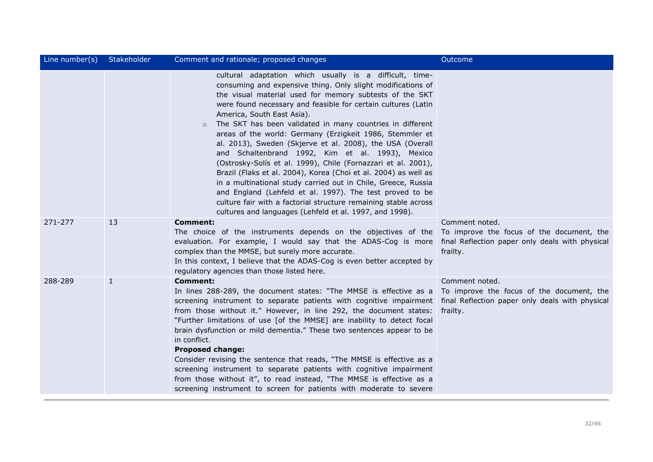| Line number(s) | Stakeholder  | Comment and rationale; proposed changes                                                                                                                                                                                                                                                                                                                                                                                                                                                                                                                                                                                                                                                                                                                                                                                                                                                                                              | Outcome                                                                 |
|----------------|--------------|--------------------------------------------------------------------------------------------------------------------------------------------------------------------------------------------------------------------------------------------------------------------------------------------------------------------------------------------------------------------------------------------------------------------------------------------------------------------------------------------------------------------------------------------------------------------------------------------------------------------------------------------------------------------------------------------------------------------------------------------------------------------------------------------------------------------------------------------------------------------------------------------------------------------------------------|-------------------------------------------------------------------------|
|                |              | cultural adaptation which usually is a difficult, time-<br>consuming and expensive thing. Only slight modifications of<br>the visual material used for memory subtests of the SKT<br>were found necessary and feasible for certain cultures (Latin<br>America, South East Asia).<br>The SKT has been validated in many countries in different<br>$\circ$<br>areas of the world: Germany (Erzigkeit 1986, Stemmler et<br>al. 2013), Sweden (Skjerve et al. 2008), the USA (Overall<br>and Schaltenbrand 1992, Kim et al. 1993), Mexico<br>(Ostrosky-Solís et al. 1999), Chile (Fornazzari et al. 2001),<br>Brazil (Flaks et al. 2004), Korea (Choi et al. 2004) as well as<br>in a multinational study carried out in Chile, Greece, Russia<br>and England (Lehfeld et al. 1997). The test proved to be<br>culture fair with a factorial structure remaining stable across<br>cultures and languages (Lehfeld et al. 1997, and 1998). |                                                                         |
| 271-277        | 13           | <b>Comment:</b><br>The choice of the instruments depends on the objectives of the<br>evaluation. For example, I would say that the ADAS-Cog is more final Reflection paper only deals with physical<br>complex than the MMSE, but surely more accurate.<br>In this context, I believe that the ADAS-Cog is even better accepted by<br>regulatory agencies than those listed here.                                                                                                                                                                                                                                                                                                                                                                                                                                                                                                                                                    | Comment noted.<br>To improve the focus of the document, the<br>frailty. |
| 288-289        | $\mathbf{1}$ | <b>Comment:</b><br>In lines 288-289, the document states: "The MMSE is effective as a<br>screening instrument to separate patients with cognitive impairment final Reflection paper only deals with physical<br>from those without it." However, in line 292, the document states:<br>"Further limitations of use [of the MMSE] are inability to detect focal<br>brain dysfunction or mild dementia." These two sentences appear to be<br>in conflict.<br><b>Proposed change:</b><br>Consider revising the sentence that reads, "The MMSE is effective as a<br>screening instrument to separate patients with cognitive impairment<br>from those without it", to read instead, "The MMSE is effective as a<br>screening instrument to screen for patients with moderate to severe                                                                                                                                                    | Comment noted.<br>To improve the focus of the document, the<br>frailty. |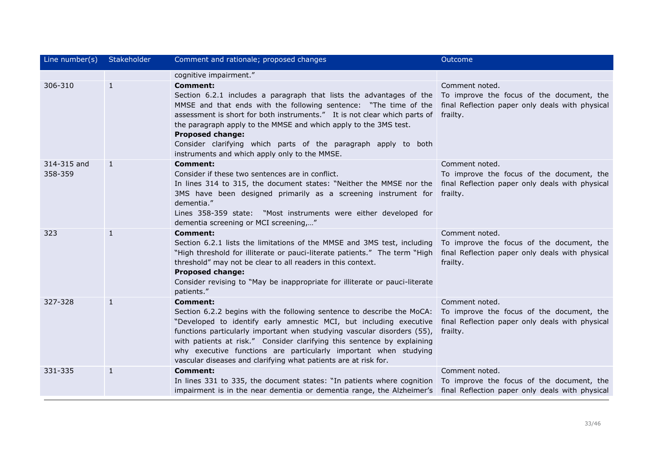| Line number(s)         | Stakeholder  | Comment and rationale; proposed changes                                                                                                                                                                                                                                                                                                                                                                                                                      | Outcome                                                                                                                    |
|------------------------|--------------|--------------------------------------------------------------------------------------------------------------------------------------------------------------------------------------------------------------------------------------------------------------------------------------------------------------------------------------------------------------------------------------------------------------------------------------------------------------|----------------------------------------------------------------------------------------------------------------------------|
|                        |              | cognitive impairment."                                                                                                                                                                                                                                                                                                                                                                                                                                       |                                                                                                                            |
| 306-310                | $\mathbf{1}$ | <b>Comment:</b><br>Section 6.2.1 includes a paragraph that lists the advantages of the<br>MMSE and that ends with the following sentence: "The time of the<br>assessment is short for both instruments." It is not clear which parts of<br>the paragraph apply to the MMSE and which apply to the 3MS test.<br><b>Proposed change:</b><br>Consider clarifying which parts of the paragraph apply to both<br>instruments and which apply only to the MMSE.    | Comment noted.<br>To improve the focus of the document, the<br>final Reflection paper only deals with physical<br>frailty. |
| 314-315 and<br>358-359 | $\mathbf{1}$ | <b>Comment:</b><br>Consider if these two sentences are in conflict.<br>In lines 314 to 315, the document states: "Neither the MMSE nor the<br>3MS have been designed primarily as a screening instrument for frailty.<br>dementia."<br>Lines 358-359 state: "Most instruments were either developed for<br>dementia screening or MCI screening,"                                                                                                             | Comment noted.<br>To improve the focus of the document, the<br>final Reflection paper only deals with physical             |
| 323                    | $\mathbf{1}$ | <b>Comment:</b><br>Section 6.2.1 lists the limitations of the MMSE and 3MS test, including<br>"High threshold for illiterate or pauci-literate patients." The term "High<br>threshold" may not be clear to all readers in this context.<br><b>Proposed change:</b><br>Consider revising to "May be inappropriate for illiterate or pauci-literate<br>patients."                                                                                              | Comment noted.<br>To improve the focus of the document, the<br>final Reflection paper only deals with physical<br>frailty. |
| 327-328                | 1            | <b>Comment:</b><br>Section 6.2.2 begins with the following sentence to describe the MoCA:<br>"Developed to identify early amnestic MCI, but including executive<br>functions particularly important when studying vascular disorders (55),<br>with patients at risk." Consider clarifying this sentence by explaining<br>why executive functions are particularly important when studying<br>vascular diseases and clarifying what patients are at risk for. | Comment noted.<br>To improve the focus of the document, the<br>final Reflection paper only deals with physical<br>frailty. |
| 331-335                | $\mathbf{1}$ | <b>Comment:</b><br>In lines 331 to 335, the document states: "In patients where cognition To improve the focus of the document, the<br>impairment is in the near dementia or dementia range, the Alzheimer's final Reflection paper only deals with physical                                                                                                                                                                                                 | Comment noted.                                                                                                             |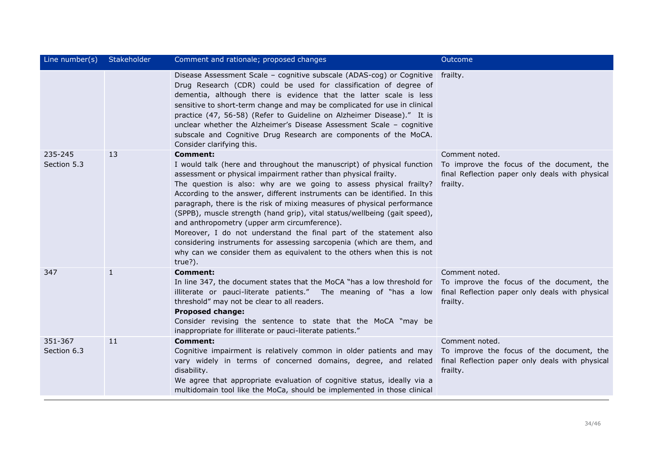| Line number(s)         | Stakeholder | Comment and rationale; proposed changes                                                                                                                                                                                                                                                                                                                                                                                                                                                                                                                                                                                                                                                                                                                    | Outcome                                                                                                                    |
|------------------------|-------------|------------------------------------------------------------------------------------------------------------------------------------------------------------------------------------------------------------------------------------------------------------------------------------------------------------------------------------------------------------------------------------------------------------------------------------------------------------------------------------------------------------------------------------------------------------------------------------------------------------------------------------------------------------------------------------------------------------------------------------------------------------|----------------------------------------------------------------------------------------------------------------------------|
|                        |             | Disease Assessment Scale - cognitive subscale (ADAS-cog) or Cognitive frailty.<br>Drug Research (CDR) could be used for classification of degree of<br>dementia, although there is evidence that the latter scale is less<br>sensitive to short-term change and may be complicated for use in clinical<br>practice (47, 56-58) (Refer to Guideline on Alzheimer Disease)." It is<br>unclear whether the Alzheimer's Disease Assessment Scale - cognitive<br>subscale and Cognitive Drug Research are components of the MoCA.<br>Consider clarifying this.                                                                                                                                                                                                  |                                                                                                                            |
| 235-245<br>Section 5.3 | 13          | <b>Comment:</b><br>I would talk (here and throughout the manuscript) of physical function<br>assessment or physical impairment rather than physical frailty.<br>The question is also: why are we going to assess physical frailty?<br>According to the answer, different instruments can be identified. In this<br>paragraph, there is the risk of mixing measures of physical performance<br>(SPPB), muscle strength (hand grip), vital status/wellbeing (gait speed),<br>and anthropometry (upper arm circumference).<br>Moreover, I do not understand the final part of the statement also<br>considering instruments for assessing sarcopenia (which are them, and<br>why can we consider them as equivalent to the others when this is not<br>true?). | Comment noted.<br>To improve the focus of the document, the<br>final Reflection paper only deals with physical<br>frailty. |
| 347                    | 1           | <b>Comment:</b><br>In line 347, the document states that the MoCA "has a low threshold for<br>illiterate or pauci-literate patients." The meaning of "has a low<br>threshold" may not be clear to all readers.<br><b>Proposed change:</b><br>Consider revising the sentence to state that the MoCA "may be<br>inappropriate for illiterate or pauci-literate patients."                                                                                                                                                                                                                                                                                                                                                                                    | Comment noted.<br>To improve the focus of the document, the<br>final Reflection paper only deals with physical<br>frailty. |
| 351-367<br>Section 6.3 | 11          | <b>Comment:</b><br>Cognitive impairment is relatively common in older patients and may<br>vary widely in terms of concerned domains, degree, and related<br>disability.<br>We agree that appropriate evaluation of cognitive status, ideally via a<br>multidomain tool like the MoCa, should be implemented in those clinical                                                                                                                                                                                                                                                                                                                                                                                                                              | Comment noted.<br>To improve the focus of the document, the<br>final Reflection paper only deals with physical<br>frailty. |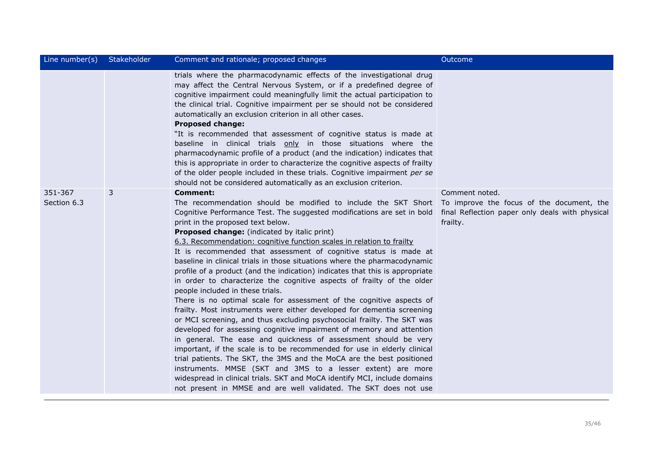| Line number(s)         | Stakeholder | Comment and rationale; proposed changes                                                                                                                                                                                                                                                                                                                                                                                                                                                                                                                                                                                                                                                                                                                                                                                                                                                                                                                                                                                                                                                                                                                                                                                                                                                                                                                                                                               | Outcome                                                                                                                    |
|------------------------|-------------|-----------------------------------------------------------------------------------------------------------------------------------------------------------------------------------------------------------------------------------------------------------------------------------------------------------------------------------------------------------------------------------------------------------------------------------------------------------------------------------------------------------------------------------------------------------------------------------------------------------------------------------------------------------------------------------------------------------------------------------------------------------------------------------------------------------------------------------------------------------------------------------------------------------------------------------------------------------------------------------------------------------------------------------------------------------------------------------------------------------------------------------------------------------------------------------------------------------------------------------------------------------------------------------------------------------------------------------------------------------------------------------------------------------------------|----------------------------------------------------------------------------------------------------------------------------|
|                        |             | trials where the pharmacodynamic effects of the investigational drug<br>may affect the Central Nervous System, or if a predefined degree of<br>cognitive impairment could meaningfully limit the actual participation to<br>the clinical trial. Cognitive impairment per se should not be considered<br>automatically an exclusion criterion in all other cases.<br><b>Proposed change:</b><br>"It is recommended that assessment of cognitive status is made at<br>baseline in clinical trials only in those situations where the<br>pharmacodynamic profile of a product (and the indication) indicates that<br>this is appropriate in order to characterize the cognitive aspects of frailty<br>of the older people included in these trials. Cognitive impairment per se<br>should not be considered automatically as an exclusion criterion.                                                                                                                                                                                                                                                                                                                                                                                                                                                                                                                                                                     |                                                                                                                            |
| 351-367<br>Section 6.3 | 3           | <b>Comment:</b><br>The recommendation should be modified to include the SKT Short<br>Cognitive Performance Test. The suggested modifications are set in bold<br>print in the proposed text below.<br>Proposed change: (indicated by italic print)<br>6.3. Recommendation: cognitive function scales in relation to frailty<br>It is recommended that assessment of cognitive status is made at<br>baseline in clinical trials in those situations where the pharmacodynamic<br>profile of a product (and the indication) indicates that this is appropriate<br>in order to characterize the cognitive aspects of frailty of the older<br>people included in these trials.<br>There is no optimal scale for assessment of the cognitive aspects of<br>frailty. Most instruments were either developed for dementia screening<br>or MCI screening, and thus excluding psychosocial frailty. The SKT was<br>developed for assessing cognitive impairment of memory and attention<br>in general. The ease and quickness of assessment should be very<br>important, if the scale is to be recommended for use in elderly clinical<br>trial patients. The SKT, the 3MS and the MoCA are the best positioned<br>instruments. MMSE (SKT and 3MS to a lesser extent) are more<br>widespread in clinical trials. SKT and MoCA identify MCI, include domains<br>not present in MMSE and are well validated. The SKT does not use | Comment noted.<br>To improve the focus of the document, the<br>final Reflection paper only deals with physical<br>frailty. |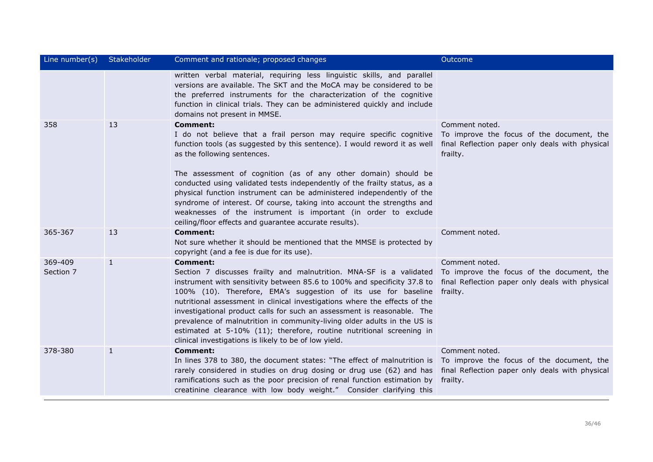| Line number(s)       | Stakeholder  | Comment and rationale; proposed changes                                                                                                                                                                                                                                                                                                                                                                                                                                                                                                                                                                                          | Outcome                                                                                                                    |
|----------------------|--------------|----------------------------------------------------------------------------------------------------------------------------------------------------------------------------------------------------------------------------------------------------------------------------------------------------------------------------------------------------------------------------------------------------------------------------------------------------------------------------------------------------------------------------------------------------------------------------------------------------------------------------------|----------------------------------------------------------------------------------------------------------------------------|
|                      |              | written verbal material, requiring less linguistic skills, and parallel<br>versions are available. The SKT and the MoCA may be considered to be<br>the preferred instruments for the characterization of the cognitive<br>function in clinical trials. They can be administered quickly and include<br>domains not present in MMSE.                                                                                                                                                                                                                                                                                              |                                                                                                                            |
| 358                  | 13           | <b>Comment:</b><br>I do not believe that a frail person may require specific cognitive<br>function tools (as suggested by this sentence). I would reword it as well<br>as the following sentences.<br>The assessment of cognition (as of any other domain) should be<br>conducted using validated tests independently of the frailty status, as a<br>physical function instrument can be administered independently of the<br>syndrome of interest. Of course, taking into account the strengths and<br>weaknesses of the instrument is important (in order to exclude<br>ceiling/floor effects and guarantee accurate results). | Comment noted.<br>To improve the focus of the document, the<br>final Reflection paper only deals with physical<br>frailty. |
| 365-367              | 13           | <b>Comment:</b><br>Not sure whether it should be mentioned that the MMSE is protected by<br>copyright (and a fee is due for its use).                                                                                                                                                                                                                                                                                                                                                                                                                                                                                            | Comment noted.                                                                                                             |
| 369-409<br>Section 7 | $\mathbf{1}$ | <b>Comment:</b><br>Section 7 discusses frailty and malnutrition. MNA-SF is a validated<br>instrument with sensitivity between 85.6 to 100% and specificity 37.8 to<br>100% (10). Therefore, EMA's suggestion of its use for baseline<br>nutritional assessment in clinical investigations where the effects of the<br>investigational product calls for such an assessment is reasonable. The<br>prevalence of malnutrition in community-living older adults in the US is<br>estimated at 5-10% (11); therefore, routine nutritional screening in<br>clinical investigations is likely to be of low yield.                       | Comment noted.<br>To improve the focus of the document, the<br>final Reflection paper only deals with physical<br>frailty. |
| 378-380              | $\mathbf{1}$ | <b>Comment:</b><br>In lines 378 to 380, the document states: "The effect of malnutrition is<br>rarely considered in studies on drug dosing or drug use (62) and has<br>ramifications such as the poor precision of renal function estimation by<br>creatinine clearance with low body weight." Consider clarifying this                                                                                                                                                                                                                                                                                                          | Comment noted.<br>To improve the focus of the document, the<br>final Reflection paper only deals with physical<br>frailty. |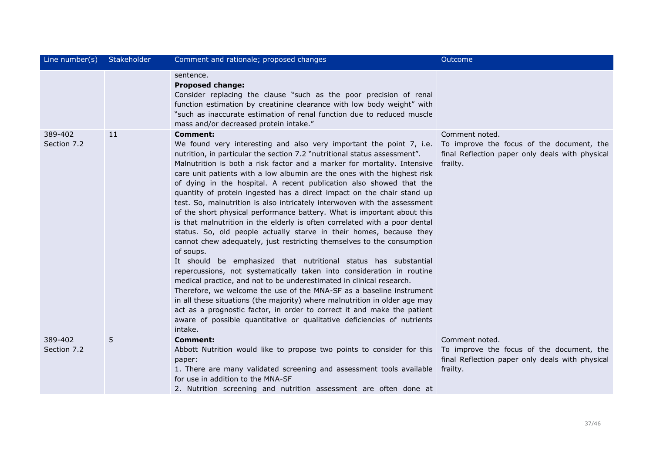| Line number(s)         | Stakeholder | Comment and rationale; proposed changes                                                                                                                                                                                                                                                                                                                                                                                                                                                                                                                                                                                                                                                                                                                                                                                                                                                                                                                                                                                                                                                                                                                                                                                                                                                                                                                                                                                     | Outcome                                                                                                                    |
|------------------------|-------------|-----------------------------------------------------------------------------------------------------------------------------------------------------------------------------------------------------------------------------------------------------------------------------------------------------------------------------------------------------------------------------------------------------------------------------------------------------------------------------------------------------------------------------------------------------------------------------------------------------------------------------------------------------------------------------------------------------------------------------------------------------------------------------------------------------------------------------------------------------------------------------------------------------------------------------------------------------------------------------------------------------------------------------------------------------------------------------------------------------------------------------------------------------------------------------------------------------------------------------------------------------------------------------------------------------------------------------------------------------------------------------------------------------------------------------|----------------------------------------------------------------------------------------------------------------------------|
|                        |             | sentence.<br><b>Proposed change:</b><br>Consider replacing the clause "such as the poor precision of renal<br>function estimation by creatinine clearance with low body weight" with<br>"such as inaccurate estimation of renal function due to reduced muscle<br>mass and/or decreased protein intake."                                                                                                                                                                                                                                                                                                                                                                                                                                                                                                                                                                                                                                                                                                                                                                                                                                                                                                                                                                                                                                                                                                                    |                                                                                                                            |
| 389-402<br>Section 7.2 | 11          | <b>Comment:</b><br>We found very interesting and also very important the point 7, i.e.<br>nutrition, in particular the section 7.2 "nutritional status assessment".<br>Malnutrition is both a risk factor and a marker for mortality. Intensive<br>care unit patients with a low albumin are the ones with the highest risk<br>of dying in the hospital. A recent publication also showed that the<br>quantity of protein ingested has a direct impact on the chair stand up<br>test. So, malnutrition is also intricately interwoven with the assessment<br>of the short physical performance battery. What is important about this<br>is that malnutrition in the elderly is often correlated with a poor dental<br>status. So, old people actually starve in their homes, because they<br>cannot chew adequately, just restricting themselves to the consumption<br>of soups.<br>It should be emphasized that nutritional status has substantial<br>repercussions, not systematically taken into consideration in routine<br>medical practice, and not to be underestimated in clinical research.<br>Therefore, we welcome the use of the MNA-SF as a baseline instrument<br>in all these situations (the majority) where malnutrition in older age may<br>act as a prognostic factor, in order to correct it and make the patient<br>aware of possible quantitative or qualitative deficiencies of nutrients<br>intake. | Comment noted.<br>To improve the focus of the document, the<br>final Reflection paper only deals with physical<br>frailty. |
| 389-402<br>Section 7.2 | 5           | <b>Comment:</b><br>Abbott Nutrition would like to propose two points to consider for this<br>paper:<br>1. There are many validated screening and assessment tools available<br>for use in addition to the MNA-SF<br>2. Nutrition screening and nutrition assessment are often done at                                                                                                                                                                                                                                                                                                                                                                                                                                                                                                                                                                                                                                                                                                                                                                                                                                                                                                                                                                                                                                                                                                                                       | Comment noted.<br>To improve the focus of the document, the<br>final Reflection paper only deals with physical<br>frailty. |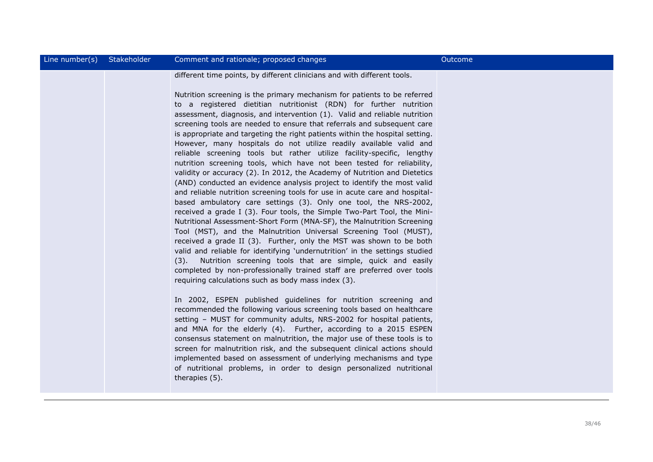| Line number( $s$ ) | Stakeholder | Comment and rationale; proposed changes                                                                                                                                                                                                                                                                                                                                                                                                                                                                                                                                                                                                                                                                                                                                                                                                                                                                                                                                                                                                                                                                                                                                                                                                                                                                                                                                                                                                                                                                                                                                                                                                                                                                                                                                                                                                                                                                                                                                                                                                                                                                                                                                                                     | Outcome |
|--------------------|-------------|-------------------------------------------------------------------------------------------------------------------------------------------------------------------------------------------------------------------------------------------------------------------------------------------------------------------------------------------------------------------------------------------------------------------------------------------------------------------------------------------------------------------------------------------------------------------------------------------------------------------------------------------------------------------------------------------------------------------------------------------------------------------------------------------------------------------------------------------------------------------------------------------------------------------------------------------------------------------------------------------------------------------------------------------------------------------------------------------------------------------------------------------------------------------------------------------------------------------------------------------------------------------------------------------------------------------------------------------------------------------------------------------------------------------------------------------------------------------------------------------------------------------------------------------------------------------------------------------------------------------------------------------------------------------------------------------------------------------------------------------------------------------------------------------------------------------------------------------------------------------------------------------------------------------------------------------------------------------------------------------------------------------------------------------------------------------------------------------------------------------------------------------------------------------------------------------------------------|---------|
|                    |             | different time points, by different clinicians and with different tools.<br>Nutrition screening is the primary mechanism for patients to be referred<br>to a registered dietitian nutritionist (RDN) for further nutrition<br>assessment, diagnosis, and intervention (1). Valid and reliable nutrition<br>screening tools are needed to ensure that referrals and subsequent care<br>is appropriate and targeting the right patients within the hospital setting.<br>However, many hospitals do not utilize readily available valid and<br>reliable screening tools but rather utilize facility-specific, lengthy<br>nutrition screening tools, which have not been tested for reliability,<br>validity or accuracy (2). In 2012, the Academy of Nutrition and Dietetics<br>(AND) conducted an evidence analysis project to identify the most valid<br>and reliable nutrition screening tools for use in acute care and hospital-<br>based ambulatory care settings (3). Only one tool, the NRS-2002,<br>received a grade I (3). Four tools, the Simple Two-Part Tool, the Mini-<br>Nutritional Assessment-Short Form (MNA-SF), the Malnutrition Screening<br>Tool (MST), and the Malnutrition Universal Screening Tool (MUST),<br>received a grade II (3). Further, only the MST was shown to be both<br>valid and reliable for identifying 'undernutrition' in the settings studied<br>Nutrition screening tools that are simple, quick and easily<br>(3).<br>completed by non-professionally trained staff are preferred over tools<br>requiring calculations such as body mass index (3).<br>In 2002, ESPEN published guidelines for nutrition screening and<br>recommended the following various screening tools based on healthcare<br>setting - MUST for community adults, NRS-2002 for hospital patients,<br>and MNA for the elderly (4). Further, according to a 2015 ESPEN<br>consensus statement on malnutrition, the major use of these tools is to<br>screen for malnutrition risk, and the subsequent clinical actions should<br>implemented based on assessment of underlying mechanisms and type<br>of nutritional problems, in order to design personalized nutritional<br>therapies (5). |         |
|                    |             |                                                                                                                                                                                                                                                                                                                                                                                                                                                                                                                                                                                                                                                                                                                                                                                                                                                                                                                                                                                                                                                                                                                                                                                                                                                                                                                                                                                                                                                                                                                                                                                                                                                                                                                                                                                                                                                                                                                                                                                                                                                                                                                                                                                                             |         |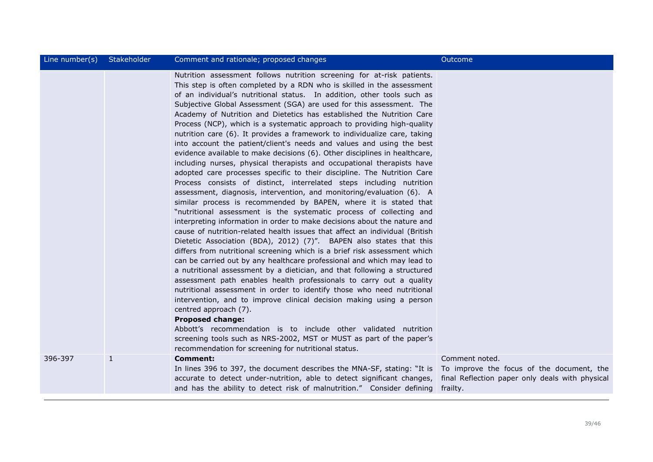| Line number(s) | Stakeholder | Comment and rationale; proposed changes                                                                                                                                                                                                                                                                                                                                                                                                                                                                                                                                                                                                                                                                                                                                                                                                                                                                                                                                                                                                                                                                                                                                                                                                                                                                                                                                                                                                                                                                                                                                                                                                                                                                                                                                                                                                                                                                                                                                                                                                                                                            | Outcome                                                                                                                    |
|----------------|-------------|----------------------------------------------------------------------------------------------------------------------------------------------------------------------------------------------------------------------------------------------------------------------------------------------------------------------------------------------------------------------------------------------------------------------------------------------------------------------------------------------------------------------------------------------------------------------------------------------------------------------------------------------------------------------------------------------------------------------------------------------------------------------------------------------------------------------------------------------------------------------------------------------------------------------------------------------------------------------------------------------------------------------------------------------------------------------------------------------------------------------------------------------------------------------------------------------------------------------------------------------------------------------------------------------------------------------------------------------------------------------------------------------------------------------------------------------------------------------------------------------------------------------------------------------------------------------------------------------------------------------------------------------------------------------------------------------------------------------------------------------------------------------------------------------------------------------------------------------------------------------------------------------------------------------------------------------------------------------------------------------------------------------------------------------------------------------------------------------------|----------------------------------------------------------------------------------------------------------------------------|
|                |             | Nutrition assessment follows nutrition screening for at-risk patients.<br>This step is often completed by a RDN who is skilled in the assessment<br>of an individual's nutritional status. In addition, other tools such as<br>Subjective Global Assessment (SGA) are used for this assessment. The<br>Academy of Nutrition and Dietetics has established the Nutrition Care<br>Process (NCP), which is a systematic approach to providing high-quality<br>nutrition care (6). It provides a framework to individualize care, taking<br>into account the patient/client's needs and values and using the best<br>evidence available to make decisions (6). Other disciplines in healthcare,<br>including nurses, physical therapists and occupational therapists have<br>adopted care processes specific to their discipline. The Nutrition Care<br>Process consists of distinct, interrelated steps including nutrition<br>assessment, diagnosis, intervention, and monitoring/evaluation (6). A<br>similar process is recommended by BAPEN, where it is stated that<br>"nutritional assessment is the systematic process of collecting and<br>interpreting information in order to make decisions about the nature and<br>cause of nutrition-related health issues that affect an individual (British<br>Dietetic Association (BDA), 2012) (7)". BAPEN also states that this<br>differs from nutritional screening which is a brief risk assessment which<br>can be carried out by any healthcare professional and which may lead to<br>a nutritional assessment by a dietician, and that following a structured<br>assessment path enables health professionals to carry out a quality<br>nutritional assessment in order to identify those who need nutritional<br>intervention, and to improve clinical decision making using a person<br>centred approach (7).<br><b>Proposed change:</b><br>Abbott's recommendation is to include other validated nutrition<br>screening tools such as NRS-2002, MST or MUST as part of the paper's<br>recommendation for screening for nutritional status. |                                                                                                                            |
| 396-397        | 1           | <b>Comment:</b><br>In lines 396 to 397, the document describes the MNA-SF, stating: "It is<br>accurate to detect under-nutrition, able to detect significant changes,<br>and has the ability to detect risk of malnutrition." Consider defining                                                                                                                                                                                                                                                                                                                                                                                                                                                                                                                                                                                                                                                                                                                                                                                                                                                                                                                                                                                                                                                                                                                                                                                                                                                                                                                                                                                                                                                                                                                                                                                                                                                                                                                                                                                                                                                    | Comment noted.<br>To improve the focus of the document, the<br>final Reflection paper only deals with physical<br>frailty. |
|                |             |                                                                                                                                                                                                                                                                                                                                                                                                                                                                                                                                                                                                                                                                                                                                                                                                                                                                                                                                                                                                                                                                                                                                                                                                                                                                                                                                                                                                                                                                                                                                                                                                                                                                                                                                                                                                                                                                                                                                                                                                                                                                                                    |                                                                                                                            |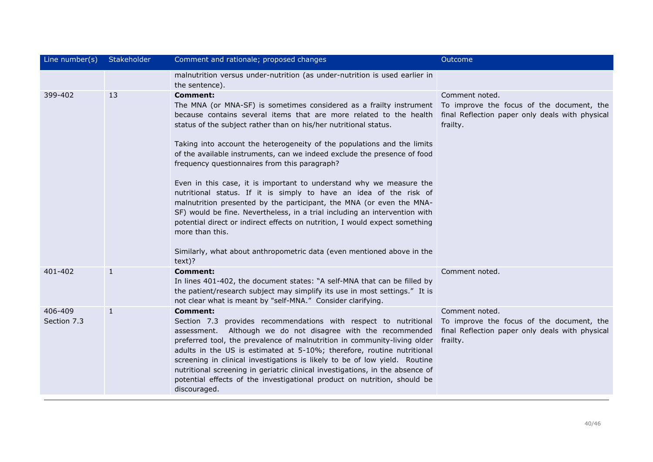| Line number(s)         | Stakeholder  | Comment and rationale; proposed changes                                                                                                                                                                                                                                                                                                                                                                                                                                                                                                                                                                                                                                                                                                                                                                                                                                                                                                                                     | Outcome                                                                                                                    |
|------------------------|--------------|-----------------------------------------------------------------------------------------------------------------------------------------------------------------------------------------------------------------------------------------------------------------------------------------------------------------------------------------------------------------------------------------------------------------------------------------------------------------------------------------------------------------------------------------------------------------------------------------------------------------------------------------------------------------------------------------------------------------------------------------------------------------------------------------------------------------------------------------------------------------------------------------------------------------------------------------------------------------------------|----------------------------------------------------------------------------------------------------------------------------|
|                        |              | malnutrition versus under-nutrition (as under-nutrition is used earlier in<br>the sentence).                                                                                                                                                                                                                                                                                                                                                                                                                                                                                                                                                                                                                                                                                                                                                                                                                                                                                |                                                                                                                            |
| 399-402                | 13           | <b>Comment:</b><br>The MNA (or MNA-SF) is sometimes considered as a frailty instrument To improve the focus of the document, the<br>because contains several items that are more related to the health<br>status of the subject rather than on his/her nutritional status.<br>Taking into account the heterogeneity of the populations and the limits<br>of the available instruments, can we indeed exclude the presence of food<br>frequency questionnaires from this paragraph?<br>Even in this case, it is important to understand why we measure the<br>nutritional status. If it is simply to have an idea of the risk of<br>malnutrition presented by the participant, the MNA (or even the MNA-<br>SF) would be fine. Nevertheless, in a trial including an intervention with<br>potential direct or indirect effects on nutrition, I would expect something<br>more than this.<br>Similarly, what about anthropometric data (even mentioned above in the<br>text)? | Comment noted.<br>final Reflection paper only deals with physical<br>frailty.                                              |
| 401-402                | $\mathbf{1}$ | <b>Comment:</b><br>In lines 401-402, the document states: "A self-MNA that can be filled by<br>the patient/research subject may simplify its use in most settings." It is<br>not clear what is meant by "self-MNA." Consider clarifying.                                                                                                                                                                                                                                                                                                                                                                                                                                                                                                                                                                                                                                                                                                                                    | Comment noted.                                                                                                             |
| 406-409<br>Section 7.3 | $\mathbf{1}$ | <b>Comment:</b><br>Section 7.3 provides recommendations with respect to nutritional<br>assessment. Although we do not disagree with the recommended<br>preferred tool, the prevalence of malnutrition in community-living older<br>adults in the US is estimated at 5-10%; therefore, routine nutritional<br>screening in clinical investigations is likely to be of low yield. Routine<br>nutritional screening in geriatric clinical investigations, in the absence of<br>potential effects of the investigational product on nutrition, should be<br>discouraged.                                                                                                                                                                                                                                                                                                                                                                                                        | Comment noted.<br>To improve the focus of the document, the<br>final Reflection paper only deals with physical<br>frailty. |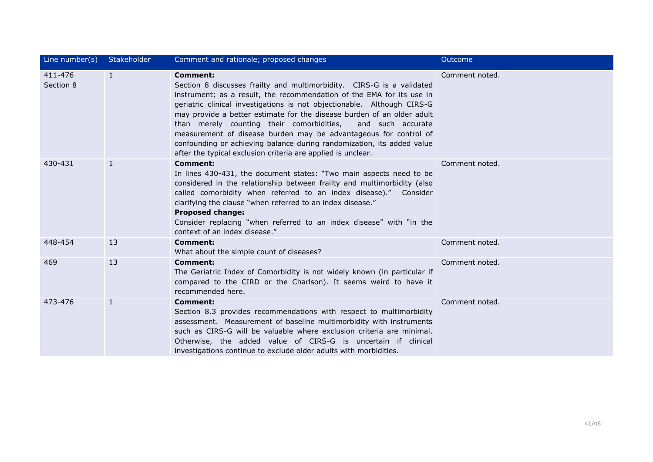| Line number(s)       | Stakeholder  | Comment and rationale; proposed changes                                                                                                                                                                                                                                                                                                                                                                                                                                                                                                                                                                | Outcome        |
|----------------------|--------------|--------------------------------------------------------------------------------------------------------------------------------------------------------------------------------------------------------------------------------------------------------------------------------------------------------------------------------------------------------------------------------------------------------------------------------------------------------------------------------------------------------------------------------------------------------------------------------------------------------|----------------|
| 411-476<br>Section 8 | $\mathbf{1}$ | <b>Comment:</b><br>Section 8 discusses frailty and multimorbidity. CIRS-G is a validated<br>instrument; as a result, the recommendation of the EMA for its use in<br>geriatric clinical investigations is not objectionable. Although CIRS-G<br>may provide a better estimate for the disease burden of an older adult<br>than merely counting their comorbidities,<br>and such accurate<br>measurement of disease burden may be advantageous for control of<br>confounding or achieving balance during randomization, its added value<br>after the typical exclusion criteria are applied is unclear. | Comment noted. |
| 430-431              | 1            | <b>Comment:</b><br>In lines 430-431, the document states: "Two main aspects need to be<br>considered in the relationship between frailty and multimorbidity (also<br>called comorbidity when referred to an index disease)." Consider<br>clarifying the clause "when referred to an index disease."<br><b>Proposed change:</b><br>Consider replacing "when referred to an index disease" with "in the<br>context of an index disease."                                                                                                                                                                 | Comment noted. |
| 448-454              | 13           | <b>Comment:</b><br>What about the simple count of diseases?                                                                                                                                                                                                                                                                                                                                                                                                                                                                                                                                            | Comment noted. |
| 469                  | 13           | <b>Comment:</b><br>The Geriatric Index of Comorbidity is not widely known (in particular if<br>compared to the CIRD or the Charlson). It seems weird to have it<br>recommended here.                                                                                                                                                                                                                                                                                                                                                                                                                   | Comment noted. |
| 473-476              | 1            | Comment:<br>Section 8.3 provides recommendations with respect to multimorbidity<br>assessment. Measurement of baseline multimorbidity with instruments<br>such as CIRS-G will be valuable where exclusion criteria are minimal.<br>Otherwise, the added value of CIRS-G is uncertain if clinical<br>investigations continue to exclude older adults with morbidities.                                                                                                                                                                                                                                  | Comment noted. |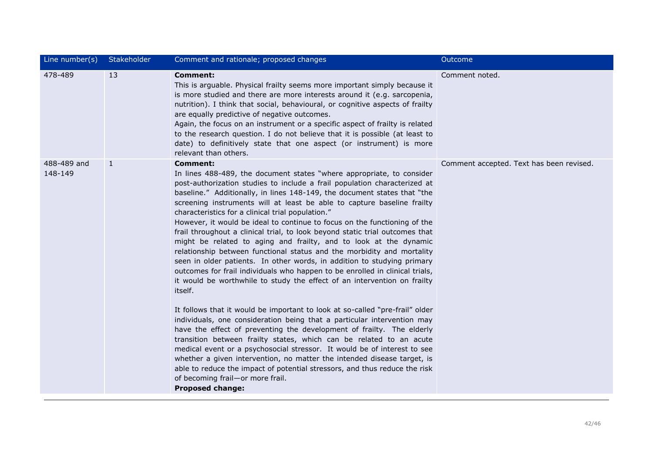| Line number(s)         | Stakeholder  | Comment and rationale; proposed changes                                                                                                                                                                                                                                                                                                                                                                                                                                                                                                                                                                                                                                                                                                                                                                                                                                                                                                                                                                                                                                                                                                                                                                                                                                                                                                                                                                                                                                                                                                                        | Outcome                                  |
|------------------------|--------------|----------------------------------------------------------------------------------------------------------------------------------------------------------------------------------------------------------------------------------------------------------------------------------------------------------------------------------------------------------------------------------------------------------------------------------------------------------------------------------------------------------------------------------------------------------------------------------------------------------------------------------------------------------------------------------------------------------------------------------------------------------------------------------------------------------------------------------------------------------------------------------------------------------------------------------------------------------------------------------------------------------------------------------------------------------------------------------------------------------------------------------------------------------------------------------------------------------------------------------------------------------------------------------------------------------------------------------------------------------------------------------------------------------------------------------------------------------------------------------------------------------------------------------------------------------------|------------------------------------------|
| 478-489                | 13           | <b>Comment:</b><br>This is arguable. Physical frailty seems more important simply because it<br>is more studied and there are more interests around it (e.g. sarcopenia,<br>nutrition). I think that social, behavioural, or cognitive aspects of frailty<br>are equally predictive of negative outcomes.<br>Again, the focus on an instrument or a specific aspect of frailty is related<br>to the research question. I do not believe that it is possible (at least to<br>date) to definitively state that one aspect (or instrument) is more<br>relevant than others.                                                                                                                                                                                                                                                                                                                                                                                                                                                                                                                                                                                                                                                                                                                                                                                                                                                                                                                                                                                       | Comment noted.                           |
| 488-489 and<br>148-149 | $\mathbf{1}$ | <b>Comment:</b><br>In lines 488-489, the document states "where appropriate, to consider<br>post-authorization studies to include a frail population characterized at<br>baseline." Additionally, in lines 148-149, the document states that "the<br>screening instruments will at least be able to capture baseline frailty<br>characteristics for a clinical trial population."<br>However, it would be ideal to continue to focus on the functioning of the<br>frail throughout a clinical trial, to look beyond static trial outcomes that<br>might be related to aging and frailty, and to look at the dynamic<br>relationship between functional status and the morbidity and mortality<br>seen in older patients. In other words, in addition to studying primary<br>outcomes for frail individuals who happen to be enrolled in clinical trials,<br>it would be worthwhile to study the effect of an intervention on frailty<br>itself.<br>It follows that it would be important to look at so-called "pre-frail" older<br>individuals, one consideration being that a particular intervention may<br>have the effect of preventing the development of frailty. The elderly<br>transition between frailty states, which can be related to an acute<br>medical event or a psychosocial stressor. It would be of interest to see<br>whether a given intervention, no matter the intended disease target, is<br>able to reduce the impact of potential stressors, and thus reduce the risk<br>of becoming frail-or more frail.<br><b>Proposed change:</b> | Comment accepted. Text has been revised. |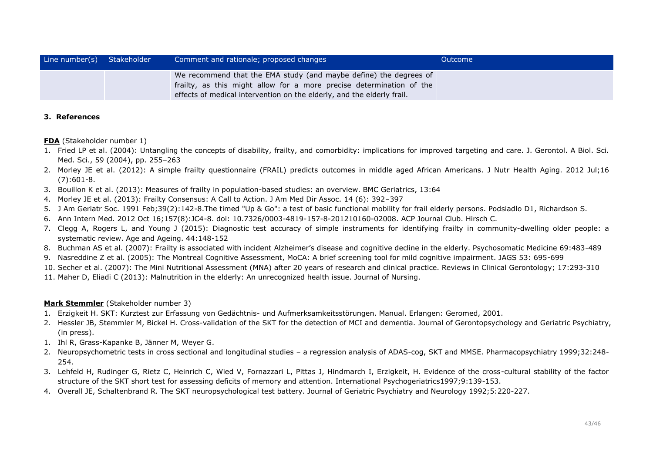| Line number(s) Stakeholder | Comment and rationale; proposed changes                                                                                                                                                                             | Outcome |
|----------------------------|---------------------------------------------------------------------------------------------------------------------------------------------------------------------------------------------------------------------|---------|
|                            | We recommend that the EMA study (and maybe define) the degrees of<br>frailty, as this might allow for a more precise determination of the<br>effects of medical intervention on the elderly, and the elderly frail. |         |

# **3. References**

**FDA** (Stakeholder number 1)

- 1. Fried LP et al. (2004): Untangling the concepts of disability, frailty, and comorbidity: implications for improved targeting and care. J. Gerontol. A Biol. Sci. Med. Sci., 59 (2004), pp. 255–263
- 2. Morley JE et al. (2012): A simple frailty questionnaire (FRAIL) predicts outcomes in middle aged African Americans. J Nutr Health Aging. 2012 Jul;16 (7):601-8.
- 3. Bouillon K et al. (2013): Measures of frailty in population-based studies: an overview. BMC Geriatrics, 13:64
- 4. Morley JE et al. (2013): Frailty Consensus: A Call to Action. J Am Med Dir Assoc. 14 (6): 392–397
- 5. J Am Geriatr Soc. 1991 Feb;39(2):142-8.The timed "Up & Go": a test of basic functional mobility for frail elderly persons. Podsiadlo D1, Richardson S.
- 6. Ann Intern Med. 2012 Oct 16;157(8):JC4-8. doi: 10.7326/0003-4819-157-8-201210160-02008. ACP Journal Club. Hirsch C.
- 7. Clegg A, Rogers L, and Young J (2015): Diagnostic test accuracy of simple instruments for identifying frailty in community-dwelling older people: a systematic review. Age and Ageing. 44:148-152
- 8. Buchman AS et al. (2007): Frailty is associated with incident Alzheimer's disease and cognitive decline in the elderly. Psychosomatic Medicine 69:483-489
- 9. Nasreddine Z et al. (2005): The Montreal Cognitive Assessment, MoCA: A brief screening tool for mild cognitive impairment. JAGS 53: 695-699
- 10. Secher et al. (2007): The Mini Nutritional Assessment (MNA) after 20 years of research and clinical practice. Reviews in Clinical Gerontology; 17:293-310
- 11. Maher D, Eliadi C (2013): Malnutrition in the elderly: An unrecognized health issue. Journal of Nursing.

# **Mark Stemmler** (Stakeholder number 3)

- 1. Erzigkeit H. SKT: Kurztest zur Erfassung von Gedächtnis- und Aufmerksamkeitsstörungen. Manual. Erlangen: Geromed, 2001.
- 2. Hessler JB, Stemmler M, Bickel H. Cross-validation of the SKT for the detection of MCI and dementia. Journal of Gerontopsychology and Geriatric Psychiatry, (in press).
- 1. Ihl R, Grass-Kapanke B, Jänner M, Weyer G.
- 2. Neuropsychometric tests in cross sectional and longitudinal studies a regression analysis of ADAS-cog, SKT and MMSE. Pharmacopsychiatry 1999;32:248- 254.
- 3. Lehfeld H, Rudinger G, Rietz C, Heinrich C, Wied V, Fornazzari L, Pittas J, Hindmarch I, Erzigkeit, H. Evidence of the cross-cultural stability of the factor structure of the SKT short test for assessing deficits of memory and attention. International Psychogeriatrics1997;9:139-153.
- 4. Overall JE, Schaltenbrand R. The SKT neuropsychological test battery. Journal of Geriatric Psychiatry and Neurology 1992;5:220-227.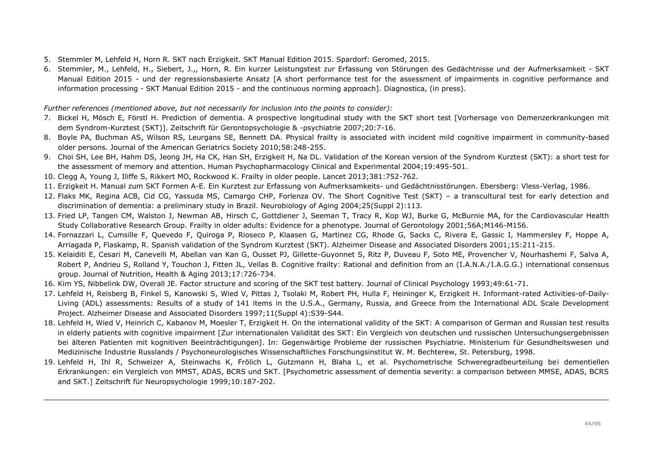- 5. Stemmler M, Lehfeld H, Horn R. SKT nach Erzigkeit. SKT Manual Edition 2015. Spardorf: Geromed, 2015.
- 6. Stemmler, M., Lehfeld, H., Siebert, J.,, Horn, R. Ein kurzer Leistungstest zur Erfassung von Störungen des Gedächtnisse und der Aufmerksamkeit SKT Manual Edition 2015 - und der regressionsbasierte Ansatz [A short performance test for the assessment of impairments in cognitive performance and information processing - SKT Manual Edition 2015 - and the continuous norming approach]. Diagnostica, (in press).

*Further references (mentioned above, but not necessarily for inclusion into the points to consider):*

- 7. Bickel H, Mösch E, Förstl H. Prediction of dementia. A prospective longitudinal study with the SKT short test [Vorhersage von Demenzerkrankungen mit dem Syndrom-Kurztest (SKT)]. Zeitschrift für Gerontopsychologie & -psychiatrie 2007;20:7-16.
- 8. Boyle PA, Buchman AS, Wilson RS, Leurgans SE, Bennett DA. Physical frailty is associated with incident mild cognitive impairment in community-based older persons. Journal of the American Geriatrics Society 2010;58:248-255.
- 9. Choi SH, Lee BH, Hahm DS, Jeong JH, Ha CK, Han SH, Erzigkeit H, Na DL. Validation of the Korean version of the Syndrom Kurztest (SKT): a short test for the assessment of memory and attention. Human Psychopharmacology Clinical and Experimental 2004;19:495-501.
- 10. Clegg A, Young J, Iliffe S, Rikkert MO, Rockwood K. Frailty in older people. Lancet 2013;381:752-762.
- 11. Erzigkeit H. Manual zum SKT Formen A-E. Ein Kurztest zur Erfassung von Aufmerksamkeits- und Gedächtnisstörungen. Ebersberg: Vless-Verlag, 1986.
- 12. Flaks MK, Regina ACB, Cid CG, Yassuda MS, Camargo CHP, Forlenza OV. The Short Cognitive Test (SKT) a transcultural test for early detection and discrimination of dementia: a preliminary study in Brazil. Neurobiology of Aging 2004;25(Suppl 2):113.
- 13. Fried LP, Tangen CM, Walston J, Newman AB, Hirsch C, Gottdiener J, Seeman T, Tracy R, Kop WJ, Burke G, McBurnie MA, for the Cardiovascular Health Study Collaborative Research Group. Frailty in older adults: Evidence for a phenotype. Journal of Gerontology 2001;56A;M146-M156.
- 14. Fornazzari L, Cumsille F, Quevedo F, Quiroga P, Rioseco P, Klaasen G, Martinez CG, Rhode G, Sacks C, Rivera E, Gassic I, Hammersley F, Hoppe A, Arriagada P, Flaskamp, R. Spanish validation of the Syndrom Kurztest (SKT). Alzheimer Disease and Associated Disorders 2001;15:211-215.
- 15. Kelaiditi E, Cesari M, Canevelli M, Abellan van Kan G, Ousset PJ, Gillette-Guyonnet S, Ritz P, Duveau F, Soto ME, Provencher V, Nourhashemi F, Salva A, Robert P, Andrieu S, Rolland Y, Touchon J, Fitten JL, Vellas B. Cognitive frailty: Rational and definition from an (I.A.N.A./I.A.G.G.) international consensus group. Journal of Nutrition, Health & Aging 2013;17:726-734.
- 16. Kim YS, Nibbelink DW, Overall JE. Factor structure and scoring of the SKT test battery. Journal of Clinical Psychology 1993;49:61-71.
- 17. Lehfeld H, Reisberg B, Finkel S, Kanowski S, Wied V, Pittas J, Tsolaki M, Robert PH, Hulla F, Heininger K, Erzigkeit H. Informant-rated Activities-of-Daily-Living (ADL) assessments: Results of a study of 141 items in the U.S.A., Germany, Russia, and Greece from the International ADL Scale Development Project. Alzheimer Disease and Associated Disorders 1997;11(Suppl 4):S39-S44.
- 18. Lehfeld H, Wied V, Heinrich C, Kabanov M, Moesler T, Erzigkeit H. On the international validity of the SKT: A comparison of German and Russian test results in elderly patients with cognitive impairment [Zur internationalen Validität des SKT: Ein Vergleich von deutschen und russischen Untersuchungsergebnissen bei älteren Patienten mit kognitiven Beeinträchtigungen]. In: Gegenwärtige Probleme der russischen Psychiatrie. Ministerium für Gesundheitswesen und Medizinische Industrie Russlands / Psychoneurologisches Wissenschaftliches Forschungsinstitut W. M. Bechterew, St. Petersburg, 1998.
- 19. Lehfeld H, Ihl R, Schweizer A, Steinwachs K, Frölich L, Gutzmann H, Blaha L, et al. Psychometrische Schweregradbeurteilung bei dementiellen Erkrankungen: ein Vergleich von MMST, ADAS, BCRS und SKT. [Psychometric assessment of dementia severity: a comparison between MMSE, ADAS, BCRS and SKT.] Zeitschrift für Neuropsychologie 1999;10:187-202.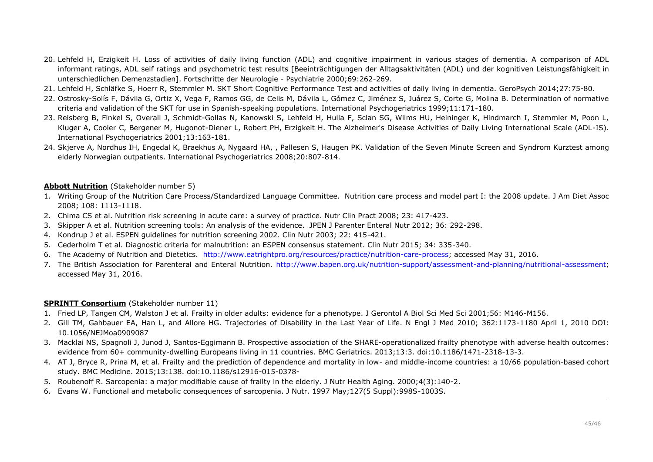- 20. Lehfeld H, Erzigkeit H. Loss of activities of daily living function (ADL) and cognitive impairment in various stages of dementia. A comparison of ADL informant ratings, ADL self ratings and psychometric test results [Beeinträchtigungen der Alltagsaktivitäten (ADL) und der kognitiven Leistungsfähigkeit in unterschiedlichen Demenzstadien]. Fortschritte der Neurologie - Psychiatrie 2000;69:262-269.
- 21. Lehfeld H, Schläfke S, Hoerr R, Stemmler M. SKT Short Cognitive Performance Test and activities of daily living in dementia. GeroPsych 2014;27:75-80.
- 22. Ostrosky-Solís F, Dávila G, Ortiz X, Vega F, Ramos GG, de Celis M, Dávila L, Gómez C, Jiménez S, Juárez S, Corte G, Molina B. Determination of normative criteria and validation of the SKT for use in Spanish-speaking populations. International Psychogeriatrics 1999;11:171-180.
- 23. Reisberg B, Finkel S, Overall J, Schmidt-Gollas N, Kanowski S, Lehfeld H, Hulla F, Sclan SG, Wilms HU, Heininger K, Hindmarch I, Stemmler M, Poon L, Kluger A, Cooler C, Bergener M, Hugonot-Diener L, Robert PH, Erzigkeit H. The Alzheimer's Disease Activities of Daily Living International Scale (ADL-IS). International Psychogeriatrics 2001;13:163-181.
- 24. Skjerve A, Nordhus IH, Engedal K, Braekhus A, Nygaard HA, , Pallesen S, Haugen PK. Validation of the Seven Minute Screen and Syndrom Kurztest among elderly Norwegian outpatients. International Psychogeriatrics 2008;20:807-814.

# **Abbott Nutrition** (Stakeholder number 5)

- 1. Writing Group of the Nutrition Care Process/Standardized Language Committee. Nutrition care process and model part I: the 2008 update. J Am Diet Assoc 2008; 108: 1113-1118.
- 2. Chima CS et al. Nutrition risk screening in acute care: a survey of practice. Nutr Clin Pract 2008; 23: 417-423.
- 3. Skipper A et al. Nutrition screening tools: An analysis of the evidence. JPEN J Parenter Enteral Nutr 2012; 36: 292-298.
- 4. Kondrup J et al. ESPEN guidelines for nutrition screening 2002. Clin Nutr 2003; 22: 415-421.
- 5. Cederholm T et al. Diagnostic criteria for malnutrition: an ESPEN consensus statement. Clin Nutr 2015; 34: 335-340.
- 6. The Academy of Nutrition and Dietetics. [http://www.eatrightpro.org/resources/practice/nutrition-care-process;](http://www.eatrightpro.org/resources/practice/nutrition-care-process) accessed May 31, 2016.
- 7. The British Association for Parenteral and Enteral Nutrition. [http://www.bapen.org.uk/nutrition-support/assessment-and-planning/nutritional-assessment;](http://www.bapen.org.uk/nutrition-support/assessment-and-planning/nutritional-assessment) accessed May 31, 2016.

# **SPRINTT Consortium** (Stakeholder number 11)

- 1. Fried LP, Tangen CM, Walston J et al. Frailty in older adults: evidence for a phenotype. J Gerontol A Biol Sci Med Sci 2001;56: M146-M156.
- 2. Gill TM, Gahbauer EA, Han L, and Allore HG. Trajectories of Disability in the Last Year of Life. N Engl J Med 2010; 362:1173-1180 April 1, 2010 DOI: 10.1056/NEJMoa0909087
- 3. Macklai NS, Spagnoli J, Junod J, Santos-Eggimann B. Prospective association of the SHARE-operationalized frailty phenotype with adverse health outcomes: evidence from 60+ community-dwelling Europeans living in 11 countries. BMC Geriatrics. 2013;13:3. doi:10.1186/1471-2318-13-3.
- 4. AT J, Bryce R, Prina M, et al. Frailty and the prediction of dependence and mortality in low- and middle-income countries: a 10/66 population-based cohort study. BMC Medicine. 2015;13:138. doi:10.1186/s12916-015-0378-
- 5. Roubenoff R. Sarcopenia: a major modifiable cause of frailty in the elderly. J Nutr Health Aging. 2000;4(3):140-2.
- 6. Evans W. Functional and metabolic consequences of sarcopenia. J Nutr. 1997 May;127(5 Suppl):998S-1003S.